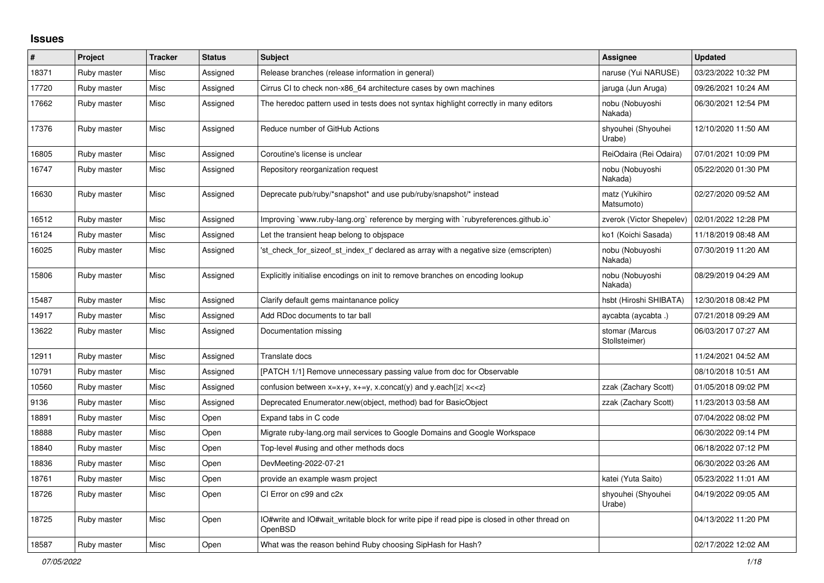## **Issues**

| $\vert$ # | Project     | <b>Tracker</b> | <b>Status</b> | <b>Subject</b>                                                                                          | <b>Assignee</b>                 | <b>Updated</b>      |
|-----------|-------------|----------------|---------------|---------------------------------------------------------------------------------------------------------|---------------------------------|---------------------|
| 18371     | Ruby master | Misc           | Assigned      | Release branches (release information in general)                                                       | naruse (Yui NARUSE)             | 03/23/2022 10:32 PM |
| 17720     | Ruby master | Misc           | Assigned      | Cirrus CI to check non-x86_64 architecture cases by own machines                                        | jaruga (Jun Aruga)              | 09/26/2021 10:24 AM |
| 17662     | Ruby master | Misc           | Assigned      | The heredoc pattern used in tests does not syntax highlight correctly in many editors                   | nobu (Nobuyoshi<br>Nakada)      | 06/30/2021 12:54 PM |
| 17376     | Ruby master | Misc           | Assigned      | Reduce number of GitHub Actions                                                                         | shyouhei (Shyouhei<br>Urabe)    | 12/10/2020 11:50 AM |
| 16805     | Ruby master | Misc           | Assigned      | Coroutine's license is unclear                                                                          | ReiOdaira (Rei Odaira)          | 07/01/2021 10:09 PM |
| 16747     | Ruby master | Misc           | Assigned      | Repository reorganization request                                                                       | nobu (Nobuyoshi<br>Nakada)      | 05/22/2020 01:30 PM |
| 16630     | Ruby master | Misc           | Assigned      | Deprecate pub/ruby/*snapshot* and use pub/ruby/snapshot/* instead                                       | matz (Yukihiro<br>Matsumoto)    | 02/27/2020 09:52 AM |
| 16512     | Ruby master | Misc           | Assigned      | Improving `www.ruby-lang.org` reference by merging with `rubyreferences.github.io`                      | zverok (Victor Shepelev)        | 02/01/2022 12:28 PM |
| 16124     | Ruby master | Misc           | Assigned      | Let the transient heap belong to objspace                                                               | ko1 (Koichi Sasada)             | 11/18/2019 08:48 AM |
| 16025     | Ruby master | Misc           | Assigned      | 'st_check_for_sizeof_st_index_t' declared as array with a negative size (emscripten)                    | nobu (Nobuyoshi<br>Nakada)      | 07/30/2019 11:20 AM |
| 15806     | Ruby master | Misc           | Assigned      | Explicitly initialise encodings on init to remove branches on encoding lookup                           | nobu (Nobuyoshi<br>Nakada)      | 08/29/2019 04:29 AM |
| 15487     | Ruby master | Misc           | Assigned      | Clarify default gems maintanance policy                                                                 | hsbt (Hiroshi SHIBATA)          | 12/30/2018 08:42 PM |
| 14917     | Ruby master | Misc           | Assigned      | Add RDoc documents to tar ball                                                                          | aycabta (aycabta.)              | 07/21/2018 09:29 AM |
| 13622     | Ruby master | Misc           | Assigned      | Documentation missing                                                                                   | stomar (Marcus<br>Stollsteimer) | 06/03/2017 07:27 AM |
| 12911     | Ruby master | Misc           | Assigned      | Translate docs                                                                                          |                                 | 11/24/2021 04:52 AM |
| 10791     | Ruby master | Misc           | Assigned      | [PATCH 1/1] Remove unnecessary passing value from doc for Observable                                    |                                 | 08/10/2018 10:51 AM |
| 10560     | Ruby master | Misc           | Assigned      | confusion between $x=x+y$ , $x+=y$ , x.concat(y) and y.each{ z  $x<}$                                   | zzak (Zachary Scott)            | 01/05/2018 09:02 PM |
| 9136      | Ruby master | Misc           | Assigned      | Deprecated Enumerator.new(object, method) bad for BasicObject                                           | zzak (Zachary Scott)            | 11/23/2013 03:58 AM |
| 18891     | Ruby master | Misc           | Open          | Expand tabs in C code                                                                                   |                                 | 07/04/2022 08:02 PM |
| 18888     | Ruby master | Misc           | Open          | Migrate ruby-lang.org mail services to Google Domains and Google Workspace                              |                                 | 06/30/2022 09:14 PM |
| 18840     | Ruby master | Misc           | Open          | Top-level #using and other methods docs                                                                 |                                 | 06/18/2022 07:12 PM |
| 18836     | Ruby master | Misc           | Open          | DevMeeting-2022-07-21                                                                                   |                                 | 06/30/2022 03:26 AM |
| 18761     | Ruby master | Misc           | Open          | provide an example wasm project                                                                         | katei (Yuta Saito)              | 05/23/2022 11:01 AM |
| 18726     | Ruby master | Misc           | Open          | CI Error on c99 and c2x                                                                                 | shyouhei (Shyouhei<br>Urabe)    | 04/19/2022 09:05 AM |
| 18725     | Ruby master | Misc           | Open          | IO#write and IO#wait writable block for write pipe if read pipe is closed in other thread on<br>OpenBSD |                                 | 04/13/2022 11:20 PM |
| 18587     | Ruby master | Misc           | Open          | What was the reason behind Ruby choosing SipHash for Hash?                                              |                                 | 02/17/2022 12:02 AM |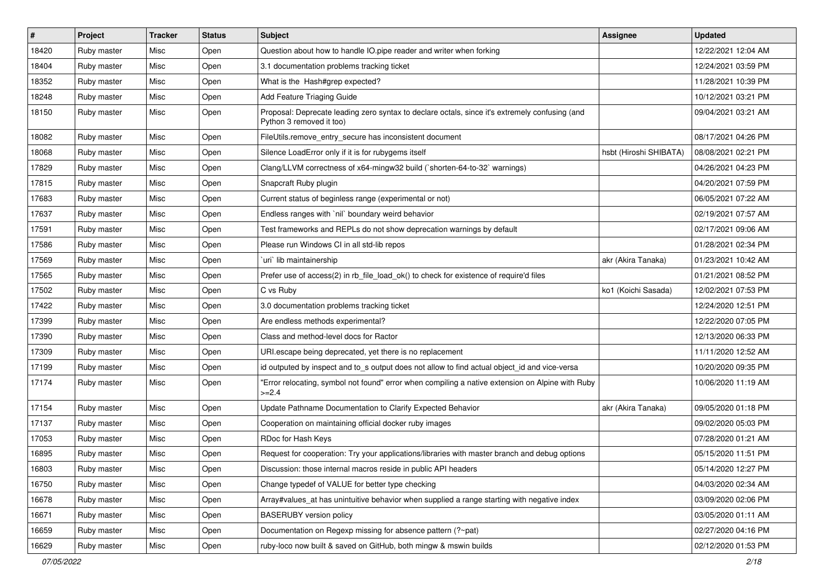| $\vert$ # | Project     | <b>Tracker</b> | <b>Status</b> | Subject                                                                                                                    | Assignee               | <b>Updated</b>      |
|-----------|-------------|----------------|---------------|----------------------------------------------------------------------------------------------------------------------------|------------------------|---------------------|
| 18420     | Ruby master | Misc           | Open          | Question about how to handle IO.pipe reader and writer when forking                                                        |                        | 12/22/2021 12:04 AM |
| 18404     | Ruby master | Misc           | Open          | 3.1 documentation problems tracking ticket                                                                                 |                        | 12/24/2021 03:59 PM |
| 18352     | Ruby master | Misc           | Open          | What is the Hash#grep expected?                                                                                            |                        | 11/28/2021 10:39 PM |
| 18248     | Ruby master | Misc           | Open          | Add Feature Triaging Guide                                                                                                 |                        | 10/12/2021 03:21 PM |
| 18150     | Ruby master | Misc           | Open          | Proposal: Deprecate leading zero syntax to declare octals, since it's extremely confusing (and<br>Python 3 removed it too) |                        | 09/04/2021 03:21 AM |
| 18082     | Ruby master | Misc           | Open          | FileUtils.remove_entry_secure has inconsistent document                                                                    |                        | 08/17/2021 04:26 PM |
| 18068     | Ruby master | Misc           | Open          | Silence LoadError only if it is for rubygems itself                                                                        | hsbt (Hiroshi SHIBATA) | 08/08/2021 02:21 PM |
| 17829     | Ruby master | Misc           | Open          | Clang/LLVM correctness of x64-mingw32 build (`shorten-64-to-32` warnings)                                                  |                        | 04/26/2021 04:23 PM |
| 17815     | Ruby master | Misc           | Open          | Snapcraft Ruby plugin                                                                                                      |                        | 04/20/2021 07:59 PM |
| 17683     | Ruby master | Misc           | Open          | Current status of beginless range (experimental or not)                                                                    |                        | 06/05/2021 07:22 AM |
| 17637     | Ruby master | Misc           | Open          | Endless ranges with 'nil' boundary weird behavior                                                                          |                        | 02/19/2021 07:57 AM |
| 17591     | Ruby master | Misc           | Open          | Test frameworks and REPLs do not show deprecation warnings by default                                                      |                        | 02/17/2021 09:06 AM |
| 17586     | Ruby master | Misc           | Open          | Please run Windows CI in all std-lib repos                                                                                 |                        | 01/28/2021 02:34 PM |
| 17569     | Ruby master | Misc           | Open          | uri lib maintainership                                                                                                     | akr (Akira Tanaka)     | 01/23/2021 10:42 AM |
| 17565     | Ruby master | Misc           | Open          | Prefer use of access(2) in rb_file_load_ok() to check for existence of require'd files                                     |                        | 01/21/2021 08:52 PM |
| 17502     | Ruby master | Misc           | Open          | C vs Ruby                                                                                                                  | ko1 (Koichi Sasada)    | 12/02/2021 07:53 PM |
| 17422     | Ruby master | Misc           | Open          | 3.0 documentation problems tracking ticket                                                                                 |                        | 12/24/2020 12:51 PM |
| 17399     | Ruby master | Misc           | Open          | Are endless methods experimental?                                                                                          |                        | 12/22/2020 07:05 PM |
| 17390     | Ruby master | Misc           | Open          | Class and method-level docs for Ractor                                                                                     |                        | 12/13/2020 06:33 PM |
| 17309     | Ruby master | Misc           | Open          | URI.escape being deprecated, yet there is no replacement                                                                   |                        | 11/11/2020 12:52 AM |
| 17199     | Ruby master | Misc           | Open          | id outputed by inspect and to_s output does not allow to find actual object_id and vice-versa                              |                        | 10/20/2020 09:35 PM |
| 17174     | Ruby master | Misc           | Open          | 'Error relocating, symbol not found" error when compiling a native extension on Alpine with Ruby<br>$>=2.4$                |                        | 10/06/2020 11:19 AM |
| 17154     | Ruby master | Misc           | Open          | Update Pathname Documentation to Clarify Expected Behavior                                                                 | akr (Akira Tanaka)     | 09/05/2020 01:18 PM |
| 17137     | Ruby master | Misc           | Open          | Cooperation on maintaining official docker ruby images                                                                     |                        | 09/02/2020 05:03 PM |
| 17053     | Ruby master | Misc           | Open          | RDoc for Hash Keys                                                                                                         |                        | 07/28/2020 01:21 AM |
| 16895     | Ruby master | Misc           | Open          | Request for cooperation: Try your applications/libraries with master branch and debug options                              |                        | 05/15/2020 11:51 PM |
| 16803     | Ruby master | Misc           | Open          | Discussion: those internal macros reside in public API headers                                                             |                        | 05/14/2020 12:27 PM |
| 16750     | Ruby master | Misc           | Open          | Change typedef of VALUE for better type checking                                                                           |                        | 04/03/2020 02:34 AM |
| 16678     | Ruby master | Misc           | Open          | Array#values at has unintuitive behavior when supplied a range starting with negative index                                |                        | 03/09/2020 02:06 PM |
| 16671     | Ruby master | Misc           | Open          | <b>BASERUBY</b> version policy                                                                                             |                        | 03/05/2020 01:11 AM |
| 16659     | Ruby master | Misc           | Open          | Documentation on Regexp missing for absence pattern (?~pat)                                                                |                        | 02/27/2020 04:16 PM |
| 16629     | Ruby master | Misc           | Open          | ruby-loco now built & saved on GitHub, both mingw & mswin builds                                                           |                        | 02/12/2020 01:53 PM |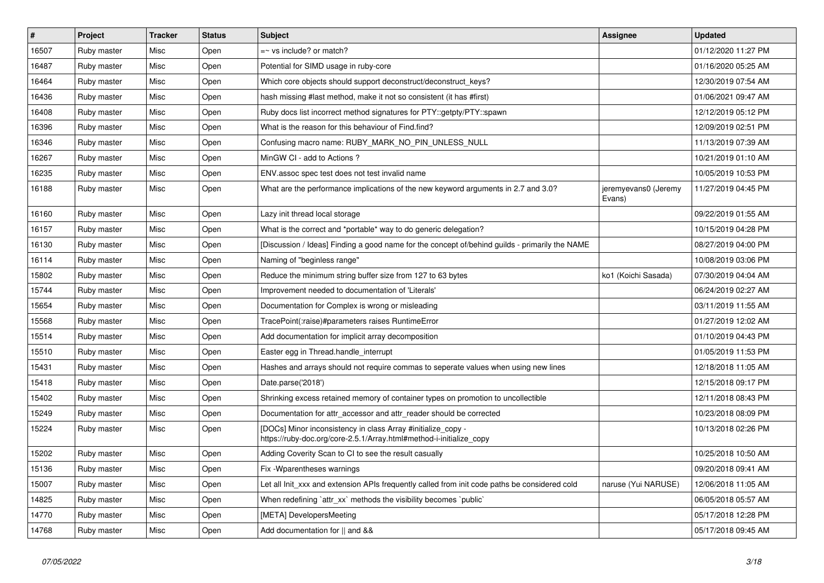| $\vert$ # | Project     | <b>Tracker</b> | <b>Status</b> | <b>Subject</b>                                                                                                                      | <b>Assignee</b>                | <b>Updated</b>      |
|-----------|-------------|----------------|---------------|-------------------------------------------------------------------------------------------------------------------------------------|--------------------------------|---------------------|
| 16507     | Ruby master | Misc           | Open          | $=$ vs include? or match?                                                                                                           |                                | 01/12/2020 11:27 PM |
| 16487     | Ruby master | Misc           | Open          | Potential for SIMD usage in ruby-core                                                                                               |                                | 01/16/2020 05:25 AM |
| 16464     | Ruby master | Misc           | Open          | Which core objects should support deconstruct/deconstruct_keys?                                                                     |                                | 12/30/2019 07:54 AM |
| 16436     | Ruby master | Misc           | Open          | hash missing #last method, make it not so consistent (it has #first)                                                                |                                | 01/06/2021 09:47 AM |
| 16408     | Ruby master | Misc           | Open          | Ruby docs list incorrect method signatures for PTY::getpty/PTY::spawn                                                               |                                | 12/12/2019 05:12 PM |
| 16396     | Ruby master | Misc           | Open          | What is the reason for this behaviour of Find.find?                                                                                 |                                | 12/09/2019 02:51 PM |
| 16346     | Ruby master | Misc           | Open          | Confusing macro name: RUBY_MARK_NO_PIN_UNLESS_NULL                                                                                  |                                | 11/13/2019 07:39 AM |
| 16267     | Ruby master | Misc           | Open          | MinGW CI - add to Actions ?                                                                                                         |                                | 10/21/2019 01:10 AM |
| 16235     | Ruby master | Misc           | Open          | ENV assoc spec test does not test invalid name                                                                                      |                                | 10/05/2019 10:53 PM |
| 16188     | Ruby master | Misc           | Open          | What are the performance implications of the new keyword arguments in 2.7 and 3.0?                                                  | jeremyevans0 (Jeremy<br>Evans) | 11/27/2019 04:45 PM |
| 16160     | Ruby master | Misc           | Open          | Lazy init thread local storage                                                                                                      |                                | 09/22/2019 01:55 AM |
| 16157     | Ruby master | Misc           | Open          | What is the correct and *portable* way to do generic delegation?                                                                    |                                | 10/15/2019 04:28 PM |
| 16130     | Ruby master | Misc           | Open          | [Discussion / Ideas] Finding a good name for the concept of/behind guilds - primarily the NAME                                      |                                | 08/27/2019 04:00 PM |
| 16114     | Ruby master | Misc           | Open          | Naming of "beginless range"                                                                                                         |                                | 10/08/2019 03:06 PM |
| 15802     | Ruby master | Misc           | Open          | Reduce the minimum string buffer size from 127 to 63 bytes                                                                          | ko1 (Koichi Sasada)            | 07/30/2019 04:04 AM |
| 15744     | Ruby master | Misc           | Open          | Improvement needed to documentation of 'Literals'                                                                                   |                                | 06/24/2019 02:27 AM |
| 15654     | Ruby master | Misc           | Open          | Documentation for Complex is wrong or misleading                                                                                    |                                | 03/11/2019 11:55 AM |
| 15568     | Ruby master | Misc           | Open          | TracePoint(:raise)#parameters raises RuntimeError                                                                                   |                                | 01/27/2019 12:02 AM |
| 15514     | Ruby master | Misc           | Open          | Add documentation for implicit array decomposition                                                                                  |                                | 01/10/2019 04:43 PM |
| 15510     | Ruby master | Misc           | Open          | Easter egg in Thread.handle_interrupt                                                                                               |                                | 01/05/2019 11:53 PM |
| 15431     | Ruby master | Misc           | Open          | Hashes and arrays should not require commas to seperate values when using new lines                                                 |                                | 12/18/2018 11:05 AM |
| 15418     | Ruby master | Misc           | Open          | Date.parse('2018')                                                                                                                  |                                | 12/15/2018 09:17 PM |
| 15402     | Ruby master | Misc           | Open          | Shrinking excess retained memory of container types on promotion to uncollectible                                                   |                                | 12/11/2018 08:43 PM |
| 15249     | Ruby master | Misc           | Open          | Documentation for attr_accessor and attr_reader should be corrected                                                                 |                                | 10/23/2018 08:09 PM |
| 15224     | Ruby master | Misc           | Open          | [DOCs] Minor inconsistency in class Array #initialize_copy -<br>https://ruby-doc.org/core-2.5.1/Array.html#method-i-initialize copy |                                | 10/13/2018 02:26 PM |
| 15202     | Ruby master | Misc           | Open          | Adding Coverity Scan to CI to see the result casually                                                                               |                                | 10/25/2018 10:50 AM |
| 15136     | Ruby master | Misc           | Open          | Fix - Wparentheses warnings                                                                                                         |                                | 09/20/2018 09:41 AM |
| 15007     | Ruby master | Misc           | Open          | Let all Init xxx and extension APIs frequently called from init code paths be considered cold                                       | naruse (Yui NARUSE)            | 12/06/2018 11:05 AM |
| 14825     | Ruby master | Misc           | Open          | When redefining `attr_xx` methods the visibility becomes `public`                                                                   |                                | 06/05/2018 05:57 AM |
| 14770     | Ruby master | Misc           | Open          | [META] DevelopersMeeting                                                                                                            |                                | 05/17/2018 12:28 PM |
| 14768     | Ruby master | Misc           | Open          | Add documentation for II and &&                                                                                                     |                                | 05/17/2018 09:45 AM |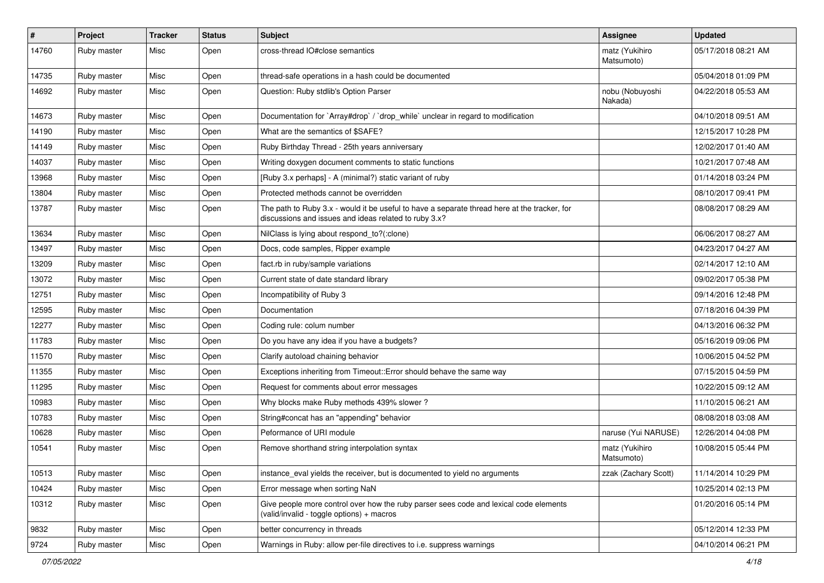| $\sharp$ | Project     | <b>Tracker</b> | <b>Status</b> | <b>Subject</b>                                                                                                                                        | Assignee                     | <b>Updated</b>      |
|----------|-------------|----------------|---------------|-------------------------------------------------------------------------------------------------------------------------------------------------------|------------------------------|---------------------|
| 14760    | Ruby master | Misc           | Open          | cross-thread IO#close semantics                                                                                                                       | matz (Yukihiro<br>Matsumoto) | 05/17/2018 08:21 AM |
| 14735    | Ruby master | Misc           | Open          | thread-safe operations in a hash could be documented                                                                                                  |                              | 05/04/2018 01:09 PM |
| 14692    | Ruby master | Misc           | Open          | Question: Ruby stdlib's Option Parser                                                                                                                 | nobu (Nobuyoshi<br>Nakada)   | 04/22/2018 05:53 AM |
| 14673    | Ruby master | Misc           | Open          | Documentation for `Array#drop` / `drop_while` unclear in regard to modification                                                                       |                              | 04/10/2018 09:51 AM |
| 14190    | Ruby master | Misc           | Open          | What are the semantics of \$SAFE?                                                                                                                     |                              | 12/15/2017 10:28 PM |
| 14149    | Ruby master | Misc           | Open          | Ruby Birthday Thread - 25th years anniversary                                                                                                         |                              | 12/02/2017 01:40 AM |
| 14037    | Ruby master | Misc           | Open          | Writing doxygen document comments to static functions                                                                                                 |                              | 10/21/2017 07:48 AM |
| 13968    | Ruby master | Misc           | Open          | [Ruby 3.x perhaps] - A (minimal?) static variant of ruby                                                                                              |                              | 01/14/2018 03:24 PM |
| 13804    | Ruby master | Misc           | Open          | Protected methods cannot be overridden                                                                                                                |                              | 08/10/2017 09:41 PM |
| 13787    | Ruby master | Misc           | Open          | The path to Ruby 3.x - would it be useful to have a separate thread here at the tracker, for<br>discussions and issues and ideas related to ruby 3.x? |                              | 08/08/2017 08:29 AM |
| 13634    | Ruby master | Misc           | Open          | NilClass is lying about respond_to?(:clone)                                                                                                           |                              | 06/06/2017 08:27 AM |
| 13497    | Ruby master | Misc           | Open          | Docs, code samples, Ripper example                                                                                                                    |                              | 04/23/2017 04:27 AM |
| 13209    | Ruby master | Misc           | Open          | fact.rb in ruby/sample variations                                                                                                                     |                              | 02/14/2017 12:10 AM |
| 13072    | Ruby master | Misc           | Open          | Current state of date standard library                                                                                                                |                              | 09/02/2017 05:38 PM |
| 12751    | Ruby master | Misc           | Open          | Incompatibility of Ruby 3                                                                                                                             |                              | 09/14/2016 12:48 PM |
| 12595    | Ruby master | Misc           | Open          | Documentation                                                                                                                                         |                              | 07/18/2016 04:39 PM |
| 12277    | Ruby master | Misc           | Open          | Coding rule: colum number                                                                                                                             |                              | 04/13/2016 06:32 PM |
| 11783    | Ruby master | Misc           | Open          | Do you have any idea if you have a budgets?                                                                                                           |                              | 05/16/2019 09:06 PM |
| 11570    | Ruby master | Misc           | Open          | Clarify autoload chaining behavior                                                                                                                    |                              | 10/06/2015 04:52 PM |
| 11355    | Ruby master | Misc           | Open          | Exceptions inheriting from Timeout:: Error should behave the same way                                                                                 |                              | 07/15/2015 04:59 PM |
| 11295    | Ruby master | Misc           | Open          | Request for comments about error messages                                                                                                             |                              | 10/22/2015 09:12 AM |
| 10983    | Ruby master | Misc           | Open          | Why blocks make Ruby methods 439% slower?                                                                                                             |                              | 11/10/2015 06:21 AM |
| 10783    | Ruby master | Misc           | Open          | String#concat has an "appending" behavior                                                                                                             |                              | 08/08/2018 03:08 AM |
| 10628    | Ruby master | Misc           | Open          | Peformance of URI module                                                                                                                              | naruse (Yui NARUSE)          | 12/26/2014 04:08 PM |
| 10541    | Ruby master | Misc           | Open          | Remove shorthand string interpolation syntax                                                                                                          | matz (Yukihiro<br>Matsumoto) | 10/08/2015 05:44 PM |
| 10513    | Ruby master | Misc           | Open          | instance_eval yields the receiver, but is documented to yield no arguments                                                                            | zzak (Zachary Scott)         | 11/14/2014 10:29 PM |
| 10424    | Ruby master | Misc           | Open          | Error message when sorting NaN                                                                                                                        |                              | 10/25/2014 02:13 PM |
| 10312    | Ruby master | Misc           | Open          | Give people more control over how the ruby parser sees code and lexical code elements<br>(valid/invalid - toggle options) + macros                    |                              | 01/20/2016 05:14 PM |
| 9832     | Ruby master | Misc           | Open          | better concurrency in threads                                                                                                                         |                              | 05/12/2014 12:33 PM |
| 9724     | Ruby master | Misc           | Open          | Warnings in Ruby: allow per-file directives to i.e. suppress warnings                                                                                 |                              | 04/10/2014 06:21 PM |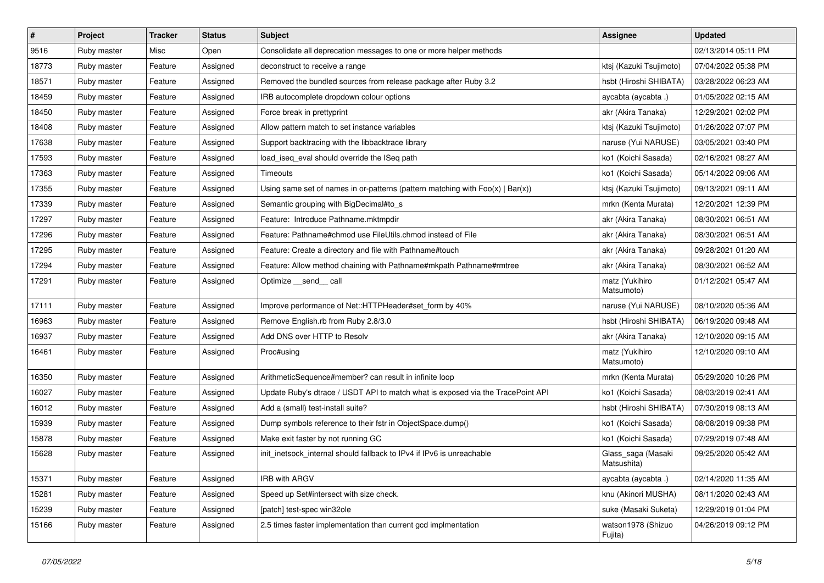| $\vert$ # | Project     | <b>Tracker</b> | <b>Status</b> | Subject                                                                           | <b>Assignee</b>                   | <b>Updated</b>      |
|-----------|-------------|----------------|---------------|-----------------------------------------------------------------------------------|-----------------------------------|---------------------|
| 9516      | Ruby master | Misc           | Open          | Consolidate all deprecation messages to one or more helper methods                |                                   | 02/13/2014 05:11 PM |
| 18773     | Ruby master | Feature        | Assigned      | deconstruct to receive a range                                                    | ktsj (Kazuki Tsujimoto)           | 07/04/2022 05:38 PM |
| 18571     | Ruby master | Feature        | Assigned      | Removed the bundled sources from release package after Ruby 3.2                   | hsbt (Hiroshi SHIBATA)            | 03/28/2022 06:23 AM |
| 18459     | Ruby master | Feature        | Assigned      | IRB autocomplete dropdown colour options                                          | aycabta (aycabta.)                | 01/05/2022 02:15 AM |
| 18450     | Ruby master | Feature        | Assigned      | Force break in prettyprint                                                        | akr (Akira Tanaka)                | 12/29/2021 02:02 PM |
| 18408     | Ruby master | Feature        | Assigned      | Allow pattern match to set instance variables                                     | ktsj (Kazuki Tsujimoto)           | 01/26/2022 07:07 PM |
| 17638     | Ruby master | Feature        | Assigned      | Support backtracing with the libbacktrace library                                 | naruse (Yui NARUSE)               | 03/05/2021 03:40 PM |
| 17593     | Ruby master | Feature        | Assigned      | load iseg eval should override the ISeg path                                      | ko1 (Koichi Sasada)               | 02/16/2021 08:27 AM |
| 17363     | Ruby master | Feature        | Assigned      | Timeouts                                                                          | ko1 (Koichi Sasada)               | 05/14/2022 09:06 AM |
| 17355     | Ruby master | Feature        | Assigned      | Using same set of names in or-patterns (pattern matching with $Foo(x)   Bar(x)$ ) | ktsj (Kazuki Tsujimoto)           | 09/13/2021 09:11 AM |
| 17339     | Ruby master | Feature        | Assigned      | Semantic grouping with BigDecimal#to_s                                            | mrkn (Kenta Murata)               | 12/20/2021 12:39 PM |
| 17297     | Ruby master | Feature        | Assigned      | Feature: Introduce Pathname.mktmpdir                                              | akr (Akira Tanaka)                | 08/30/2021 06:51 AM |
| 17296     | Ruby master | Feature        | Assigned      | Feature: Pathname#chmod use FileUtils.chmod instead of File                       | akr (Akira Tanaka)                | 08/30/2021 06:51 AM |
| 17295     | Ruby master | Feature        | Assigned      | Feature: Create a directory and file with Pathname#touch                          | akr (Akira Tanaka)                | 09/28/2021 01:20 AM |
| 17294     | Ruby master | Feature        | Assigned      | Feature: Allow method chaining with Pathname#mkpath Pathname#rmtree               | akr (Akira Tanaka)                | 08/30/2021 06:52 AM |
| 17291     | Ruby master | Feature        | Assigned      | Optimize __send__ call                                                            | matz (Yukihiro<br>Matsumoto)      | 01/12/2021 05:47 AM |
| 17111     | Ruby master | Feature        | Assigned      | Improve performance of Net::HTTPHeader#set_form by 40%                            | naruse (Yui NARUSE)               | 08/10/2020 05:36 AM |
| 16963     | Ruby master | Feature        | Assigned      | Remove English.rb from Ruby 2.8/3.0                                               | hsbt (Hiroshi SHIBATA)            | 06/19/2020 09:48 AM |
| 16937     | Ruby master | Feature        | Assigned      | Add DNS over HTTP to Resolv                                                       | akr (Akira Tanaka)                | 12/10/2020 09:15 AM |
| 16461     | Ruby master | Feature        | Assigned      | Proc#using                                                                        | matz (Yukihiro<br>Matsumoto)      | 12/10/2020 09:10 AM |
| 16350     | Ruby master | Feature        | Assigned      | ArithmeticSequence#member? can result in infinite loop                            | mrkn (Kenta Murata)               | 05/29/2020 10:26 PM |
| 16027     | Ruby master | Feature        | Assigned      | Update Ruby's dtrace / USDT API to match what is exposed via the TracePoint API   | ko1 (Koichi Sasada)               | 08/03/2019 02:41 AM |
| 16012     | Ruby master | Feature        | Assigned      | Add a (small) test-install suite?                                                 | hsbt (Hiroshi SHIBATA)            | 07/30/2019 08:13 AM |
| 15939     | Ruby master | Feature        | Assigned      | Dump symbols reference to their fstr in ObjectSpace.dump()                        | ko1 (Koichi Sasada)               | 08/08/2019 09:38 PM |
| 15878     | Ruby master | Feature        | Assigned      | Make exit faster by not running GC                                                | ko1 (Koichi Sasada)               | 07/29/2019 07:48 AM |
| 15628     | Ruby master | Feature        | Assigned      | init_inetsock_internal should fallback to IPv4 if IPv6 is unreachable             | Glass_saga (Masaki<br>Matsushita) | 09/25/2020 05:42 AM |
| 15371     | Ruby master | Feature        | Assigned      | IRB with ARGV                                                                     | aycabta (aycabta.)                | 02/14/2020 11:35 AM |
| 15281     | Ruby master | Feature        | Assigned      | Speed up Set#intersect with size check.                                           | knu (Akinori MUSHA)               | 08/11/2020 02:43 AM |
| 15239     | Ruby master | Feature        | Assigned      | [patch] test-spec win32ole                                                        | suke (Masaki Suketa)              | 12/29/2019 01:04 PM |
| 15166     | Ruby master | Feature        | Assigned      | 2.5 times faster implementation than current gcd implmentation                    | watson1978 (Shizuo<br>Fujita)     | 04/26/2019 09:12 PM |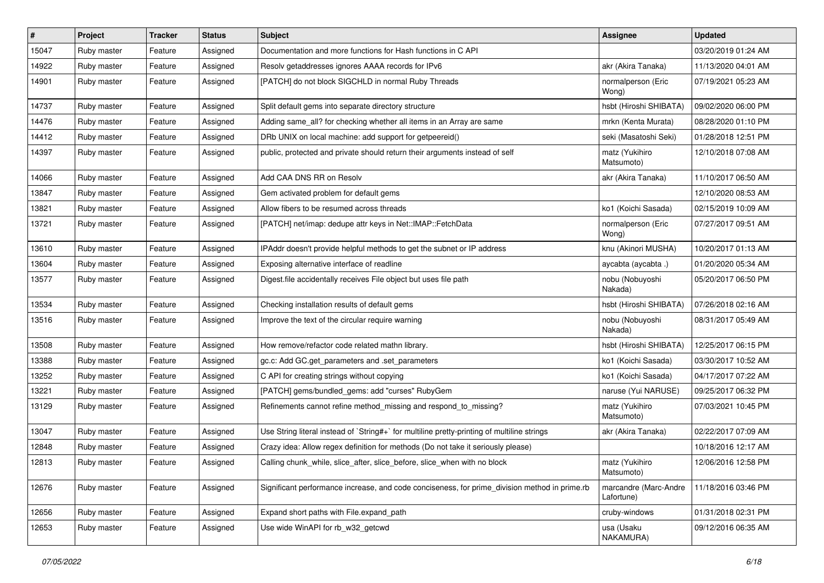| #     | Project     | <b>Tracker</b> | <b>Status</b> | Subject                                                                                       | Assignee                            | <b>Updated</b>      |
|-------|-------------|----------------|---------------|-----------------------------------------------------------------------------------------------|-------------------------------------|---------------------|
| 15047 | Ruby master | Feature        | Assigned      | Documentation and more functions for Hash functions in C API                                  |                                     | 03/20/2019 01:24 AM |
| 14922 | Ruby master | Feature        | Assigned      | Resolv getaddresses ignores AAAA records for IPv6                                             | akr (Akira Tanaka)                  | 11/13/2020 04:01 AM |
| 14901 | Ruby master | Feature        | Assigned      | [PATCH] do not block SIGCHLD in normal Ruby Threads                                           | normalperson (Eric<br>Wong)         | 07/19/2021 05:23 AM |
| 14737 | Ruby master | Feature        | Assigned      | Split default gems into separate directory structure                                          | hsbt (Hiroshi SHIBATA)              | 09/02/2020 06:00 PM |
| 14476 | Ruby master | Feature        | Assigned      | Adding same_all? for checking whether all items in an Array are same                          | mrkn (Kenta Murata)                 | 08/28/2020 01:10 PM |
| 14412 | Ruby master | Feature        | Assigned      | DRb UNIX on local machine: add support for getpeereid()                                       | seki (Masatoshi Seki)               | 01/28/2018 12:51 PM |
| 14397 | Ruby master | Feature        | Assigned      | public, protected and private should return their arguments instead of self                   | matz (Yukihiro<br>Matsumoto)        | 12/10/2018 07:08 AM |
| 14066 | Ruby master | Feature        | Assigned      | Add CAA DNS RR on Resolv                                                                      | akr (Akira Tanaka)                  | 11/10/2017 06:50 AM |
| 13847 | Ruby master | Feature        | Assigned      | Gem activated problem for default gems                                                        |                                     | 12/10/2020 08:53 AM |
| 13821 | Ruby master | Feature        | Assigned      | Allow fibers to be resumed across threads                                                     | ko1 (Koichi Sasada)                 | 02/15/2019 10:09 AM |
| 13721 | Ruby master | Feature        | Assigned      | [PATCH] net/imap: dedupe attr keys in Net::IMAP::FetchData                                    | normalperson (Eric<br>Wong)         | 07/27/2017 09:51 AM |
| 13610 | Ruby master | Feature        | Assigned      | IPAddr doesn't provide helpful methods to get the subnet or IP address                        | knu (Akinori MUSHA)                 | 10/20/2017 01:13 AM |
| 13604 | Ruby master | Feature        | Assigned      | Exposing alternative interface of readline                                                    | aycabta (aycabta.)                  | 01/20/2020 05:34 AM |
| 13577 | Ruby master | Feature        | Assigned      | Digest file accidentally receives File object but uses file path                              | nobu (Nobuyoshi<br>Nakada)          | 05/20/2017 06:50 PM |
| 13534 | Ruby master | Feature        | Assigned      | Checking installation results of default gems                                                 | hsbt (Hiroshi SHIBATA)              | 07/26/2018 02:16 AM |
| 13516 | Ruby master | Feature        | Assigned      | Improve the text of the circular require warning                                              | nobu (Nobuyoshi<br>Nakada)          | 08/31/2017 05:49 AM |
| 13508 | Ruby master | Feature        | Assigned      | How remove/refactor code related mathn library.                                               | hsbt (Hiroshi SHIBATA)              | 12/25/2017 06:15 PM |
| 13388 | Ruby master | Feature        | Assigned      | gc.c: Add GC.get_parameters and .set_parameters                                               | ko1 (Koichi Sasada)                 | 03/30/2017 10:52 AM |
| 13252 | Ruby master | Feature        | Assigned      | C API for creating strings without copying                                                    | ko1 (Koichi Sasada)                 | 04/17/2017 07:22 AM |
| 13221 | Ruby master | Feature        | Assigned      | [PATCH] gems/bundled_gems: add "curses" RubyGem                                               | naruse (Yui NARUSE)                 | 09/25/2017 06:32 PM |
| 13129 | Ruby master | Feature        | Assigned      | Refinements cannot refine method_missing and respond_to_missing?                              | matz (Yukihiro<br>Matsumoto)        | 07/03/2021 10:45 PM |
| 13047 | Ruby master | Feature        | Assigned      | Use String literal instead of `String#+` for multiline pretty-printing of multiline strings   | akr (Akira Tanaka)                  | 02/22/2017 07:09 AM |
| 12848 | Ruby master | Feature        | Assigned      | Crazy idea: Allow regex definition for methods (Do not take it seriously please)              |                                     | 10/18/2016 12:17 AM |
| 12813 | Ruby master | Feature        | Assigned      | Calling chunk while, slice after, slice before, slice when with no block                      | matz (Yukihiro<br>Matsumoto)        | 12/06/2016 12:58 PM |
| 12676 | Ruby master | Feature        | Assigned      | Significant performance increase, and code conciseness, for prime_division method in prime.rb | marcandre (Marc-Andre<br>Lafortune) | 11/18/2016 03:46 PM |
| 12656 | Ruby master | Feature        | Assigned      | Expand short paths with File.expand_path                                                      | cruby-windows                       | 01/31/2018 02:31 PM |
| 12653 | Ruby master | Feature        | Assigned      | Use wide WinAPI for rb w32 getcwd                                                             | usa (Usaku<br>NAKAMURA)             | 09/12/2016 06:35 AM |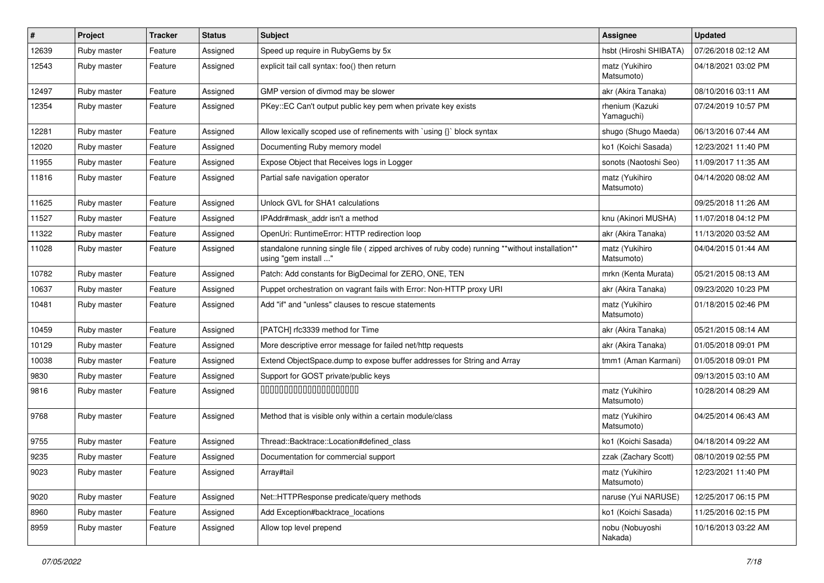| #     | Project     | <b>Tracker</b> | <b>Status</b> | Subject                                                                                                                 | Assignee                      | <b>Updated</b>      |
|-------|-------------|----------------|---------------|-------------------------------------------------------------------------------------------------------------------------|-------------------------------|---------------------|
| 12639 | Ruby master | Feature        | Assigned      | Speed up require in RubyGems by 5x                                                                                      | hsbt (Hiroshi SHIBATA)        | 07/26/2018 02:12 AM |
| 12543 | Ruby master | Feature        | Assigned      | explicit tail call syntax: foo() then return                                                                            | matz (Yukihiro<br>Matsumoto)  | 04/18/2021 03:02 PM |
| 12497 | Ruby master | Feature        | Assigned      | GMP version of divmod may be slower                                                                                     | akr (Akira Tanaka)            | 08/10/2016 03:11 AM |
| 12354 | Ruby master | Feature        | Assigned      | PKey::EC Can't output public key pem when private key exists                                                            | rhenium (Kazuki<br>Yamaguchi) | 07/24/2019 10:57 PM |
| 12281 | Ruby master | Feature        | Assigned      | Allow lexically scoped use of refinements with `using {}` block syntax                                                  | shugo (Shugo Maeda)           | 06/13/2016 07:44 AM |
| 12020 | Ruby master | Feature        | Assigned      | Documenting Ruby memory model                                                                                           | ko1 (Koichi Sasada)           | 12/23/2021 11:40 PM |
| 11955 | Ruby master | Feature        | Assigned      | Expose Object that Receives logs in Logger                                                                              | sonots (Naotoshi Seo)         | 11/09/2017 11:35 AM |
| 11816 | Ruby master | Feature        | Assigned      | Partial safe navigation operator                                                                                        | matz (Yukihiro<br>Matsumoto)  | 04/14/2020 08:02 AM |
| 11625 | Ruby master | Feature        | Assigned      | Unlock GVL for SHA1 calculations                                                                                        |                               | 09/25/2018 11:26 AM |
| 11527 | Ruby master | Feature        | Assigned      | IPAddr#mask_addr isn't a method                                                                                         | knu (Akinori MUSHA)           | 11/07/2018 04:12 PM |
| 11322 | Ruby master | Feature        | Assigned      | OpenUri: RuntimeError: HTTP redirection loop                                                                            | akr (Akira Tanaka)            | 11/13/2020 03:52 AM |
| 11028 | Ruby master | Feature        | Assigned      | standalone running single file ( zipped archives of ruby code) running **without installation**<br>using "gem install " | matz (Yukihiro<br>Matsumoto)  | 04/04/2015 01:44 AM |
| 10782 | Ruby master | Feature        | Assigned      | Patch: Add constants for BigDecimal for ZERO, ONE, TEN                                                                  | mrkn (Kenta Murata)           | 05/21/2015 08:13 AM |
| 10637 | Ruby master | Feature        | Assigned      | Puppet orchestration on vagrant fails with Error: Non-HTTP proxy URI                                                    | akr (Akira Tanaka)            | 09/23/2020 10:23 PM |
| 10481 | Ruby master | Feature        | Assigned      | Add "if" and "unless" clauses to rescue statements                                                                      | matz (Yukihiro<br>Matsumoto)  | 01/18/2015 02:46 PM |
| 10459 | Ruby master | Feature        | Assigned      | [PATCH] rfc3339 method for Time                                                                                         | akr (Akira Tanaka)            | 05/21/2015 08:14 AM |
| 10129 | Ruby master | Feature        | Assigned      | More descriptive error message for failed net/http requests                                                             | akr (Akira Tanaka)            | 01/05/2018 09:01 PM |
| 10038 | Ruby master | Feature        | Assigned      | Extend ObjectSpace.dump to expose buffer addresses for String and Array                                                 | tmm1 (Aman Karmani)           | 01/05/2018 09:01 PM |
| 9830  | Ruby master | Feature        | Assigned      | Support for GOST private/public keys                                                                                    |                               | 09/13/2015 03:10 AM |
| 9816  | Ruby master | Feature        | Assigned      | 00000000000000000000                                                                                                    | matz (Yukihiro<br>Matsumoto)  | 10/28/2014 08:29 AM |
| 9768  | Ruby master | Feature        | Assigned      | Method that is visible only within a certain module/class                                                               | matz (Yukihiro<br>Matsumoto)  | 04/25/2014 06:43 AM |
| 9755  | Ruby master | Feature        | Assigned      | Thread::Backtrace::Location#defined class                                                                               | ko1 (Koichi Sasada)           | 04/18/2014 09:22 AM |
| 9235  | Ruby master | Feature        | Assigned      | Documentation for commercial support                                                                                    | zzak (Zachary Scott)          | 08/10/2019 02:55 PM |
| 9023  | Ruby master | Feature        | Assigned      | Array#tail                                                                                                              | matz (Yukihiro<br>Matsumoto)  | 12/23/2021 11:40 PM |
| 9020  | Ruby master | Feature        | Assigned      | Net::HTTPResponse predicate/query methods                                                                               | naruse (Yui NARUSE)           | 12/25/2017 06:15 PM |
| 8960  | Ruby master | Feature        | Assigned      | Add Exception#backtrace_locations                                                                                       | ko1 (Koichi Sasada)           | 11/25/2016 02:15 PM |
| 8959  | Ruby master | Feature        | Assigned      | Allow top level prepend                                                                                                 | nobu (Nobuyoshi<br>Nakada)    | 10/16/2013 03:22 AM |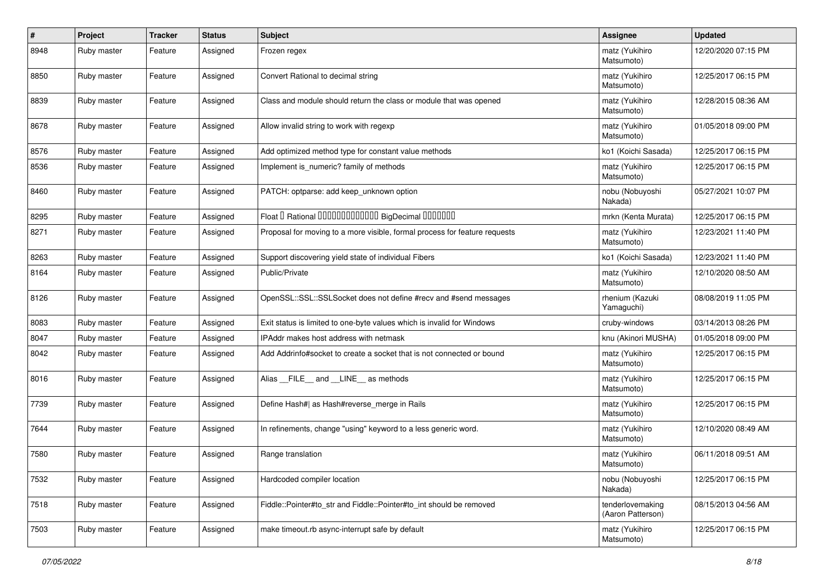| $\vert$ # | Project     | <b>Tracker</b> | <b>Status</b> | Subject                                                                    | <b>Assignee</b>                       | <b>Updated</b>      |
|-----------|-------------|----------------|---------------|----------------------------------------------------------------------------|---------------------------------------|---------------------|
| 8948      | Ruby master | Feature        | Assigned      | Frozen regex                                                               | matz (Yukihiro<br>Matsumoto)          | 12/20/2020 07:15 PM |
| 8850      | Ruby master | Feature        | Assigned      | Convert Rational to decimal string                                         | matz (Yukihiro<br>Matsumoto)          | 12/25/2017 06:15 PM |
| 8839      | Ruby master | Feature        | Assigned      | Class and module should return the class or module that was opened         | matz (Yukihiro<br>Matsumoto)          | 12/28/2015 08:36 AM |
| 8678      | Ruby master | Feature        | Assigned      | Allow invalid string to work with regexp                                   | matz (Yukihiro<br>Matsumoto)          | 01/05/2018 09:00 PM |
| 8576      | Ruby master | Feature        | Assigned      | Add optimized method type for constant value methods                       | ko1 (Koichi Sasada)                   | 12/25/2017 06:15 PM |
| 8536      | Ruby master | Feature        | Assigned      | Implement is_numeric? family of methods                                    | matz (Yukihiro<br>Matsumoto)          | 12/25/2017 06:15 PM |
| 8460      | Ruby master | Feature        | Assigned      | PATCH: optparse: add keep_unknown option                                   | nobu (Nobuyoshi<br>Nakada)            | 05/27/2021 10:07 PM |
| 8295      | Ruby master | Feature        | Assigned      | Float I Rational 0000000000000 BigDecimal 0000000                          | mrkn (Kenta Murata)                   | 12/25/2017 06:15 PM |
| 8271      | Ruby master | Feature        | Assigned      | Proposal for moving to a more visible, formal process for feature requests | matz (Yukihiro<br>Matsumoto)          | 12/23/2021 11:40 PM |
| 8263      | Ruby master | Feature        | Assigned      | Support discovering yield state of individual Fibers                       | ko1 (Koichi Sasada)                   | 12/23/2021 11:40 PM |
| 8164      | Ruby master | Feature        | Assigned      | Public/Private                                                             | matz (Yukihiro<br>Matsumoto)          | 12/10/2020 08:50 AM |
| 8126      | Ruby master | Feature        | Assigned      | OpenSSL::SSL:SSLSocket does not define #recv and #send messages            | rhenium (Kazuki<br>Yamaguchi)         | 08/08/2019 11:05 PM |
| 8083      | Ruby master | Feature        | Assigned      | Exit status is limited to one-byte values which is invalid for Windows     | cruby-windows                         | 03/14/2013 08:26 PM |
| 8047      | Ruby master | Feature        | Assigned      | IPAddr makes host address with netmask                                     | knu (Akinori MUSHA)                   | 01/05/2018 09:00 PM |
| 8042      | Ruby master | Feature        | Assigned      | Add Addrinfo#socket to create a socket that is not connected or bound      | matz (Yukihiro<br>Matsumoto)          | 12/25/2017 06:15 PM |
| 8016      | Ruby master | Feature        | Assigned      | Alias FILE and LINE as methods                                             | matz (Yukihiro<br>Matsumoto)          | 12/25/2017 06:15 PM |
| 7739      | Ruby master | Feature        | Assigned      | Define Hash#  as Hash#reverse_merge in Rails                               | matz (Yukihiro<br>Matsumoto)          | 12/25/2017 06:15 PM |
| 7644      | Ruby master | Feature        | Assigned      | In refinements, change "using" keyword to a less generic word.             | matz (Yukihiro<br>Matsumoto)          | 12/10/2020 08:49 AM |
| 7580      | Ruby master | Feature        | Assigned      | Range translation                                                          | matz (Yukihiro<br>Matsumoto)          | 06/11/2018 09:51 AM |
| 7532      | Ruby master | Feature        | Assigned      | Hardcoded compiler location                                                | nobu (Nobuyoshi<br>Nakada)            | 12/25/2017 06:15 PM |
| 7518      | Ruby master | Feature        | Assigned      | Fiddle::Pointer#to_str and Fiddle::Pointer#to_int should be removed        | tenderlovemaking<br>(Aaron Patterson) | 08/15/2013 04:56 AM |
| 7503      | Ruby master | Feature        | Assigned      | make timeout.rb async-interrupt safe by default                            | matz (Yukihiro<br>Matsumoto)          | 12/25/2017 06:15 PM |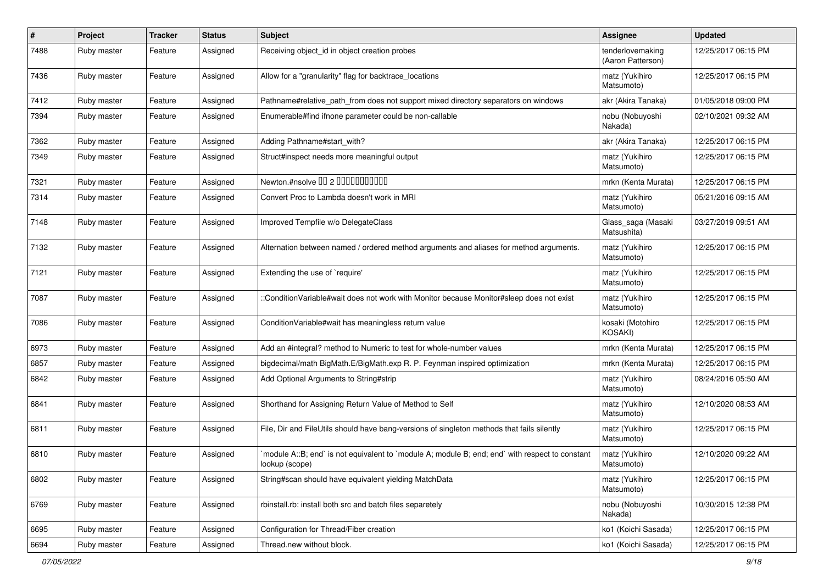| $\sharp$ | Project     | <b>Tracker</b> | <b>Status</b> | Subject                                                                                                          | <b>Assignee</b>                       | <b>Updated</b>      |
|----------|-------------|----------------|---------------|------------------------------------------------------------------------------------------------------------------|---------------------------------------|---------------------|
| 7488     | Ruby master | Feature        | Assigned      | Receiving object id in object creation probes                                                                    | tenderlovemaking<br>(Aaron Patterson) | 12/25/2017 06:15 PM |
| 7436     | Ruby master | Feature        | Assigned      | Allow for a "granularity" flag for backtrace_locations                                                           | matz (Yukihiro<br>Matsumoto)          | 12/25/2017 06:15 PM |
| 7412     | Ruby master | Feature        | Assigned      | Pathname#relative_path_from does not support mixed directory separators on windows                               | akr (Akira Tanaka)                    | 01/05/2018 09:00 PM |
| 7394     | Ruby master | Feature        | Assigned      | Enumerable#find ifnone parameter could be non-callable                                                           | nobu (Nobuyoshi<br>Nakada)            | 02/10/2021 09:32 AM |
| 7362     | Ruby master | Feature        | Assigned      | Adding Pathname#start_with?                                                                                      | akr (Akira Tanaka)                    | 12/25/2017 06:15 PM |
| 7349     | Ruby master | Feature        | Assigned      | Struct#inspect needs more meaningful output                                                                      | matz (Yukihiro<br>Matsumoto)          | 12/25/2017 06:15 PM |
| 7321     | Ruby master | Feature        | Assigned      | Newton.#nsolve 00 2 0000000000                                                                                   | mrkn (Kenta Murata)                   | 12/25/2017 06:15 PM |
| 7314     | Ruby master | Feature        | Assigned      | Convert Proc to Lambda doesn't work in MRI                                                                       | matz (Yukihiro<br>Matsumoto)          | 05/21/2016 09:15 AM |
| 7148     | Ruby master | Feature        | Assigned      | Improved Tempfile w/o DelegateClass                                                                              | Glass_saga (Masaki<br>Matsushita)     | 03/27/2019 09:51 AM |
| 7132     | Ruby master | Feature        | Assigned      | Alternation between named / ordered method arguments and aliases for method arguments.                           | matz (Yukihiro<br>Matsumoto)          | 12/25/2017 06:15 PM |
| 7121     | Ruby master | Feature        | Assigned      | Extending the use of `require'                                                                                   | matz (Yukihiro<br>Matsumoto)          | 12/25/2017 06:15 PM |
| 7087     | Ruby master | Feature        | Assigned      | :ConditionVariable#wait does not work with Monitor because Monitor#sleep does not exist                          | matz (Yukihiro<br>Matsumoto)          | 12/25/2017 06:15 PM |
| 7086     | Ruby master | Feature        | Assigned      | ConditionVariable#wait has meaningless return value                                                              | kosaki (Motohiro<br>KOSAKI)           | 12/25/2017 06:15 PM |
| 6973     | Ruby master | Feature        | Assigned      | Add an #integral? method to Numeric to test for whole-number values                                              | mrkn (Kenta Murata)                   | 12/25/2017 06:15 PM |
| 6857     | Ruby master | Feature        | Assigned      | bigdecimal/math BigMath.E/BigMath.exp R. P. Feynman inspired optimization                                        | mrkn (Kenta Murata)                   | 12/25/2017 06:15 PM |
| 6842     | Ruby master | Feature        | Assigned      | Add Optional Arguments to String#strip                                                                           | matz (Yukihiro<br>Matsumoto)          | 08/24/2016 05:50 AM |
| 6841     | Ruby master | Feature        | Assigned      | Shorthand for Assigning Return Value of Method to Self                                                           | matz (Yukihiro<br>Matsumoto)          | 12/10/2020 08:53 AM |
| 6811     | Ruby master | Feature        | Assigned      | File, Dir and FileUtils should have bang-versions of singleton methods that fails silently                       | matz (Yukihiro<br>Matsumoto)          | 12/25/2017 06:15 PM |
| 6810     | Ruby master | Feature        | Assigned      | module A::B; end` is not equivalent to `module A; module B; end; end` with respect to constant<br>lookup (scope) | matz (Yukihiro<br>Matsumoto)          | 12/10/2020 09:22 AM |
| 6802     | Ruby master | Feature        | Assigned      | String#scan should have equivalent yielding MatchData                                                            | matz (Yukihiro<br>Matsumoto)          | 12/25/2017 06:15 PM |
| 6769     | Ruby master | Feature        | Assigned      | rbinstall.rb: install both src and batch files separetely                                                        | nobu (Nobuyoshi<br>Nakada)            | 10/30/2015 12:38 PM |
| 6695     | Ruby master | Feature        | Assigned      | Configuration for Thread/Fiber creation                                                                          | ko1 (Koichi Sasada)                   | 12/25/2017 06:15 PM |
| 6694     | Ruby master | Feature        | Assigned      | Thread.new without block.                                                                                        | ko1 (Koichi Sasada)                   | 12/25/2017 06:15 PM |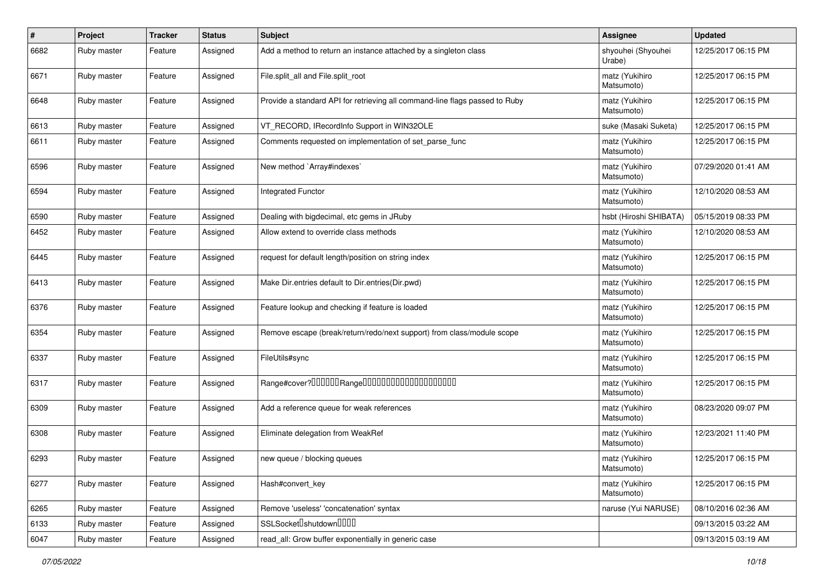| $\vert$ # | Project     | <b>Tracker</b> | <b>Status</b> | <b>Subject</b>                                                              | <b>Assignee</b>              | <b>Updated</b>      |
|-----------|-------------|----------------|---------------|-----------------------------------------------------------------------------|------------------------------|---------------------|
| 6682      | Ruby master | Feature        | Assigned      | Add a method to return an instance attached by a singleton class            | shyouhei (Shyouhei<br>Urabe) | 12/25/2017 06:15 PM |
| 6671      | Ruby master | Feature        | Assigned      | File.split_all and File.split_root                                          | matz (Yukihiro<br>Matsumoto) | 12/25/2017 06:15 PM |
| 6648      | Ruby master | Feature        | Assigned      | Provide a standard API for retrieving all command-line flags passed to Ruby | matz (Yukihiro<br>Matsumoto) | 12/25/2017 06:15 PM |
| 6613      | Ruby master | Feature        | Assigned      | VT_RECORD, IRecordInfo Support in WIN32OLE                                  | suke (Masaki Suketa)         | 12/25/2017 06:15 PM |
| 6611      | Ruby master | Feature        | Assigned      | Comments requested on implementation of set_parse_func                      | matz (Yukihiro<br>Matsumoto) | 12/25/2017 06:15 PM |
| 6596      | Ruby master | Feature        | Assigned      | New method `Array#indexes`                                                  | matz (Yukihiro<br>Matsumoto) | 07/29/2020 01:41 AM |
| 6594      | Ruby master | Feature        | Assigned      | Integrated Functor                                                          | matz (Yukihiro<br>Matsumoto) | 12/10/2020 08:53 AM |
| 6590      | Ruby master | Feature        | Assigned      | Dealing with bigdecimal, etc gems in JRuby                                  | hsbt (Hiroshi SHIBATA)       | 05/15/2019 08:33 PM |
| 6452      | Ruby master | Feature        | Assigned      | Allow extend to override class methods                                      | matz (Yukihiro<br>Matsumoto) | 12/10/2020 08:53 AM |
| 6445      | Ruby master | Feature        | Assigned      | request for default length/position on string index                         | matz (Yukihiro<br>Matsumoto) | 12/25/2017 06:15 PM |
| 6413      | Ruby master | Feature        | Assigned      | Make Dir.entries default to Dir.entries(Dir.pwd)                            | matz (Yukihiro<br>Matsumoto) | 12/25/2017 06:15 PM |
| 6376      | Ruby master | Feature        | Assigned      | Feature lookup and checking if feature is loaded                            | matz (Yukihiro<br>Matsumoto) | 12/25/2017 06:15 PM |
| 6354      | Ruby master | Feature        | Assigned      | Remove escape (break/return/redo/next support) from class/module scope      | matz (Yukihiro<br>Matsumoto) | 12/25/2017 06:15 PM |
| 6337      | Ruby master | Feature        | Assigned      | FileUtils#sync                                                              | matz (Yukihiro<br>Matsumoto) | 12/25/2017 06:15 PM |
| 6317      | Ruby master | Feature        | Assigned      |                                                                             | matz (Yukihiro<br>Matsumoto) | 12/25/2017 06:15 PM |
| 6309      | Ruby master | Feature        | Assigned      | Add a reference queue for weak references                                   | matz (Yukihiro<br>Matsumoto) | 08/23/2020 09:07 PM |
| 6308      | Ruby master | Feature        | Assigned      | Eliminate delegation from WeakRef                                           | matz (Yukihiro<br>Matsumoto) | 12/23/2021 11:40 PM |
| 6293      | Ruby master | Feature        | Assigned      | new queue / blocking queues                                                 | matz (Yukihiro<br>Matsumoto) | 12/25/2017 06:15 PM |
| 6277      | Ruby master | Feature        | Assigned      | Hash#convert_key                                                            | matz (Yukihiro<br>Matsumoto) | 12/25/2017 06:15 PM |
| 6265      | Ruby master | Feature        | Assigned      | Remove 'useless' 'concatenation' syntax                                     | naruse (Yui NARUSE)          | 08/10/2016 02:36 AM |
| 6133      | Ruby master | Feature        | Assigned      | SSLSocketlshutdownllllll                                                    |                              | 09/13/2015 03:22 AM |
| 6047      | Ruby master | Feature        | Assigned      | read_all: Grow buffer exponentially in generic case                         |                              | 09/13/2015 03:19 AM |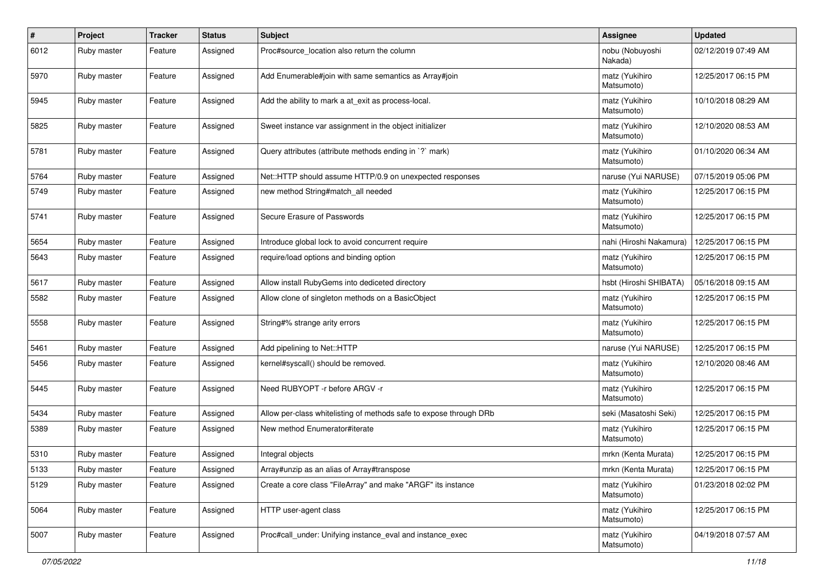| $\vert$ # | Project     | <b>Tracker</b> | <b>Status</b> | <b>Subject</b>                                                     | <b>Assignee</b>              | <b>Updated</b>      |
|-----------|-------------|----------------|---------------|--------------------------------------------------------------------|------------------------------|---------------------|
| 6012      | Ruby master | Feature        | Assigned      | Proc#source_location also return the column                        | nobu (Nobuyoshi<br>Nakada)   | 02/12/2019 07:49 AM |
| 5970      | Ruby master | Feature        | Assigned      | Add Enumerable#join with same semantics as Array#join              | matz (Yukihiro<br>Matsumoto) | 12/25/2017 06:15 PM |
| 5945      | Ruby master | Feature        | Assigned      | Add the ability to mark a at_exit as process-local.                | matz (Yukihiro<br>Matsumoto) | 10/10/2018 08:29 AM |
| 5825      | Ruby master | Feature        | Assigned      | Sweet instance var assignment in the object initializer            | matz (Yukihiro<br>Matsumoto) | 12/10/2020 08:53 AM |
| 5781      | Ruby master | Feature        | Assigned      | Query attributes (attribute methods ending in `?` mark)            | matz (Yukihiro<br>Matsumoto) | 01/10/2020 06:34 AM |
| 5764      | Ruby master | Feature        | Assigned      | Net::HTTP should assume HTTP/0.9 on unexpected responses           | naruse (Yui NARUSE)          | 07/15/2019 05:06 PM |
| 5749      | Ruby master | Feature        | Assigned      | new method String#match_all needed                                 | matz (Yukihiro<br>Matsumoto) | 12/25/2017 06:15 PM |
| 5741      | Ruby master | Feature        | Assigned      | Secure Erasure of Passwords                                        | matz (Yukihiro<br>Matsumoto) | 12/25/2017 06:15 PM |
| 5654      | Ruby master | Feature        | Assigned      | Introduce global lock to avoid concurrent require                  | nahi (Hiroshi Nakamura)      | 12/25/2017 06:15 PM |
| 5643      | Ruby master | Feature        | Assigned      | require/load options and binding option                            | matz (Yukihiro<br>Matsumoto) | 12/25/2017 06:15 PM |
| 5617      | Ruby master | Feature        | Assigned      | Allow install RubyGems into dediceted directory                    | hsbt (Hiroshi SHIBATA)       | 05/16/2018 09:15 AM |
| 5582      | Ruby master | Feature        | Assigned      | Allow clone of singleton methods on a BasicObject                  | matz (Yukihiro<br>Matsumoto) | 12/25/2017 06:15 PM |
| 5558      | Ruby master | Feature        | Assigned      | String#% strange arity errors                                      | matz (Yukihiro<br>Matsumoto) | 12/25/2017 06:15 PM |
| 5461      | Ruby master | Feature        | Assigned      | Add pipelining to Net::HTTP                                        | naruse (Yui NARUSE)          | 12/25/2017 06:15 PM |
| 5456      | Ruby master | Feature        | Assigned      | kernel#syscall() should be removed.                                | matz (Yukihiro<br>Matsumoto) | 12/10/2020 08:46 AM |
| 5445      | Ruby master | Feature        | Assigned      | Need RUBYOPT -r before ARGV -r                                     | matz (Yukihiro<br>Matsumoto) | 12/25/2017 06:15 PM |
| 5434      | Ruby master | Feature        | Assigned      | Allow per-class whitelisting of methods safe to expose through DRb | seki (Masatoshi Seki)        | 12/25/2017 06:15 PM |
| 5389      | Ruby master | Feature        | Assigned      | New method Enumerator#iterate                                      | matz (Yukihiro<br>Matsumoto) | 12/25/2017 06:15 PM |
| 5310      | Ruby master | Feature        | Assigned      | Integral objects                                                   | mrkn (Kenta Murata)          | 12/25/2017 06:15 PM |
| 5133      | Ruby master | Feature        | Assigned      | Array#unzip as an alias of Array#transpose                         | mrkn (Kenta Murata)          | 12/25/2017 06:15 PM |
| 5129      | Ruby master | Feature        | Assigned      | Create a core class "FileArray" and make "ARGF" its instance       | matz (Yukihiro<br>Matsumoto) | 01/23/2018 02:02 PM |
| 5064      | Ruby master | Feature        | Assigned      | HTTP user-agent class                                              | matz (Yukihiro<br>Matsumoto) | 12/25/2017 06:15 PM |
| 5007      | Ruby master | Feature        | Assigned      | Proc#call_under: Unifying instance_eval and instance_exec          | matz (Yukihiro<br>Matsumoto) | 04/19/2018 07:57 AM |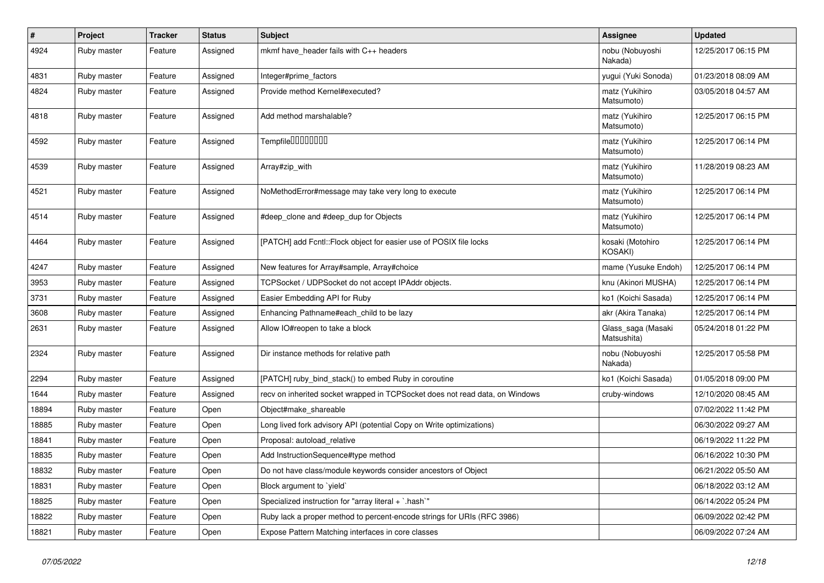| $\vert$ # | Project     | <b>Tracker</b> | <b>Status</b> | <b>Subject</b>                                                               | Assignee                          | <b>Updated</b>      |
|-----------|-------------|----------------|---------------|------------------------------------------------------------------------------|-----------------------------------|---------------------|
| 4924      | Ruby master | Feature        | Assigned      | mkmf have header fails with $C_{++}$ headers                                 | nobu (Nobuyoshi<br>Nakada)        | 12/25/2017 06:15 PM |
| 4831      | Ruby master | Feature        | Assigned      | Integer#prime_factors                                                        | yugui (Yuki Sonoda)               | 01/23/2018 08:09 AM |
| 4824      | Ruby master | Feature        | Assigned      | Provide method Kernel#executed?                                              | matz (Yukihiro<br>Matsumoto)      | 03/05/2018 04:57 AM |
| 4818      | Ruby master | Feature        | Assigned      | Add method marshalable?                                                      | matz (Yukihiro<br>Matsumoto)      | 12/25/2017 06:15 PM |
| 4592      | Ruby master | Feature        | Assigned      | Tempfile0000000                                                              | matz (Yukihiro<br>Matsumoto)      | 12/25/2017 06:14 PM |
| 4539      | Ruby master | Feature        | Assigned      | Array#zip_with                                                               | matz (Yukihiro<br>Matsumoto)      | 11/28/2019 08:23 AM |
| 4521      | Ruby master | Feature        | Assigned      | NoMethodError#message may take very long to execute                          | matz (Yukihiro<br>Matsumoto)      | 12/25/2017 06:14 PM |
| 4514      | Ruby master | Feature        | Assigned      | #deep_clone and #deep_dup for Objects                                        | matz (Yukihiro<br>Matsumoto)      | 12/25/2017 06:14 PM |
| 4464      | Ruby master | Feature        | Assigned      | [PATCH] add Fcntl:: Flock object for easier use of POSIX file locks          | kosaki (Motohiro<br>KOSAKI)       | 12/25/2017 06:14 PM |
| 4247      | Ruby master | Feature        | Assigned      | New features for Array#sample, Array#choice                                  | mame (Yusuke Endoh)               | 12/25/2017 06:14 PM |
| 3953      | Ruby master | Feature        | Assigned      | TCPSocket / UDPSocket do not accept IPAddr objects.                          | knu (Akinori MUSHA)               | 12/25/2017 06:14 PM |
| 3731      | Ruby master | Feature        | Assigned      | Easier Embedding API for Ruby                                                | ko1 (Koichi Sasada)               | 12/25/2017 06:14 PM |
| 3608      | Ruby master | Feature        | Assigned      | Enhancing Pathname#each child to be lazy                                     | akr (Akira Tanaka)                | 12/25/2017 06:14 PM |
| 2631      | Ruby master | Feature        | Assigned      | Allow IO#reopen to take a block                                              | Glass_saga (Masaki<br>Matsushita) | 05/24/2018 01:22 PM |
| 2324      | Ruby master | Feature        | Assigned      | Dir instance methods for relative path                                       | nobu (Nobuyoshi<br>Nakada)        | 12/25/2017 05:58 PM |
| 2294      | Ruby master | Feature        | Assigned      | [PATCH] ruby bind stack() to embed Ruby in coroutine                         | ko1 (Koichi Sasada)               | 01/05/2018 09:00 PM |
| 1644      | Ruby master | Feature        | Assigned      | recv on inherited socket wrapped in TCPSocket does not read data, on Windows | cruby-windows                     | 12/10/2020 08:45 AM |
| 18894     | Ruby master | Feature        | Open          | Object#make shareable                                                        |                                   | 07/02/2022 11:42 PM |
| 18885     | Ruby master | Feature        | Open          | Long lived fork advisory API (potential Copy on Write optimizations)         |                                   | 06/30/2022 09:27 AM |
| 18841     | Ruby master | Feature        | Open          | Proposal: autoload relative                                                  |                                   | 06/19/2022 11:22 PM |
| 18835     | Ruby master | Feature        | Open          | Add InstructionSequence#type method                                          |                                   | 06/16/2022 10:30 PM |
| 18832     | Ruby master | Feature        | Open          | Do not have class/module keywords consider ancestors of Object               |                                   | 06/21/2022 05:50 AM |
| 18831     | Ruby master | Feature        | Open          | Block argument to `yield`                                                    |                                   | 06/18/2022 03:12 AM |
| 18825     | Ruby master | Feature        | Open          | Specialized instruction for "array literal $+$ `.hash`"                      |                                   | 06/14/2022 05:24 PM |
| 18822     | Ruby master | Feature        | Open          | Ruby lack a proper method to percent-encode strings for URIs (RFC 3986)      |                                   | 06/09/2022 02:42 PM |
| 18821     | Ruby master | Feature        | Open          | Expose Pattern Matching interfaces in core classes                           |                                   | 06/09/2022 07:24 AM |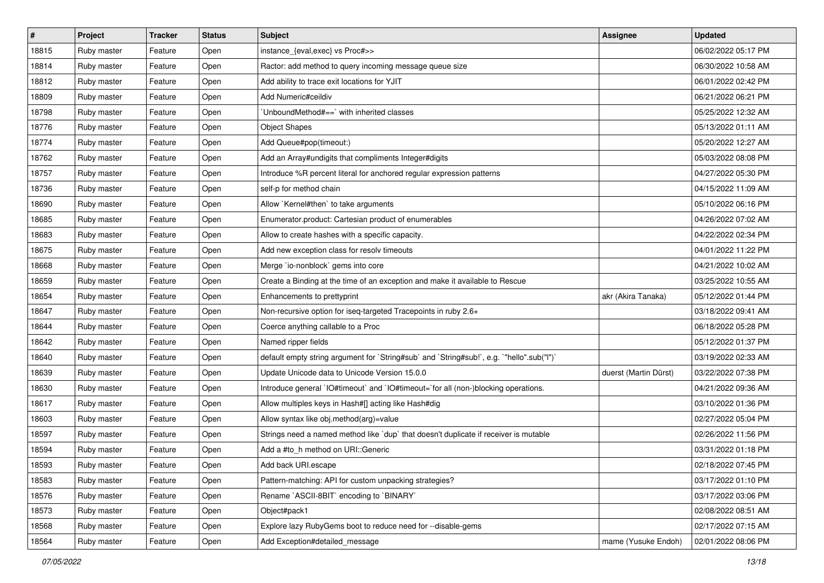| $\vert$ # | <b>Project</b> | <b>Tracker</b> | <b>Status</b> | <b>Subject</b>                                                                            | <b>Assignee</b>       | <b>Updated</b>      |
|-----------|----------------|----------------|---------------|-------------------------------------------------------------------------------------------|-----------------------|---------------------|
| 18815     | Ruby master    | Feature        | Open          | instance_{eval,exec} vs Proc#>>                                                           |                       | 06/02/2022 05:17 PM |
| 18814     | Ruby master    | Feature        | Open          | Ractor: add method to query incoming message queue size                                   |                       | 06/30/2022 10:58 AM |
| 18812     | Ruby master    | Feature        | Open          | Add ability to trace exit locations for YJIT                                              |                       | 06/01/2022 02:42 PM |
| 18809     | Ruby master    | Feature        | Open          | Add Numeric#ceildiv                                                                       |                       | 06/21/2022 06:21 PM |
| 18798     | Ruby master    | Feature        | Open          | UnboundMethod# $==$ ` with inherited classes                                              |                       | 05/25/2022 12:32 AM |
| 18776     | Ruby master    | Feature        | Open          | <b>Object Shapes</b>                                                                      |                       | 05/13/2022 01:11 AM |
| 18774     | Ruby master    | Feature        | Open          | Add Queue#pop(timeout:)                                                                   |                       | 05/20/2022 12:27 AM |
| 18762     | Ruby master    | Feature        | Open          | Add an Array#undigits that compliments Integer#digits                                     |                       | 05/03/2022 08:08 PM |
| 18757     | Ruby master    | Feature        | Open          | Introduce %R percent literal for anchored regular expression patterns                     |                       | 04/27/2022 05:30 PM |
| 18736     | Ruby master    | Feature        | Open          | self-p for method chain                                                                   |                       | 04/15/2022 11:09 AM |
| 18690     | Ruby master    | Feature        | Open          | Allow `Kernel#then` to take arguments                                                     |                       | 05/10/2022 06:16 PM |
| 18685     | Ruby master    | Feature        | Open          | Enumerator.product: Cartesian product of enumerables                                      |                       | 04/26/2022 07:02 AM |
| 18683     | Ruby master    | Feature        | Open          | Allow to create hashes with a specific capacity.                                          |                       | 04/22/2022 02:34 PM |
| 18675     | Ruby master    | Feature        | Open          | Add new exception class for resolv timeouts                                               |                       | 04/01/2022 11:22 PM |
| 18668     | Ruby master    | Feature        | Open          | Merge `io-nonblock` gems into core                                                        |                       | 04/21/2022 10:02 AM |
| 18659     | Ruby master    | Feature        | Open          | Create a Binding at the time of an exception and make it available to Rescue              |                       | 03/25/2022 10:55 AM |
| 18654     | Ruby master    | Feature        | Open          | Enhancements to prettyprint                                                               | akr (Akira Tanaka)    | 05/12/2022 01:44 PM |
| 18647     | Ruby master    | Feature        | Open          | Non-recursive option for iseq-targeted Tracepoints in ruby 2.6+                           |                       | 03/18/2022 09:41 AM |
| 18644     | Ruby master    | Feature        | Open          | Coerce anything callable to a Proc                                                        |                       | 06/18/2022 05:28 PM |
| 18642     | Ruby master    | Feature        | Open          | Named ripper fields                                                                       |                       | 05/12/2022 01:37 PM |
| 18640     | Ruby master    | Feature        | Open          | default empty string argument for `String#sub` and `String#sub!`, e.g. `"hello".sub("I")` |                       | 03/19/2022 02:33 AM |
| 18639     | Ruby master    | Feature        | Open          | Update Unicode data to Unicode Version 15.0.0                                             | duerst (Martin Dürst) | 03/22/2022 07:38 PM |
| 18630     | Ruby master    | Feature        | Open          | Introduce general `IO#timeout` and `IO#timeout=`for all (non-)blocking operations.        |                       | 04/21/2022 09:36 AM |
| 18617     | Ruby master    | Feature        | Open          | Allow multiples keys in Hash#[] acting like Hash#dig                                      |                       | 03/10/2022 01:36 PM |
| 18603     | Ruby master    | Feature        | Open          | Allow syntax like obj.method(arg)=value                                                   |                       | 02/27/2022 05:04 PM |
| 18597     | Ruby master    | Feature        | Open          | Strings need a named method like 'dup' that doesn't duplicate if receiver is mutable      |                       | 02/26/2022 11:56 PM |
| 18594     | Ruby master    | Feature        | Open          | Add a #to_h method on URI::Generic                                                        |                       | 03/31/2022 01:18 PM |
| 18593     | Ruby master    | Feature        | Open          | Add back URI.escape                                                                       |                       | 02/18/2022 07:45 PM |
| 18583     | Ruby master    | Feature        | Open          | Pattern-matching: API for custom unpacking strategies?                                    |                       | 03/17/2022 01:10 PM |
| 18576     | Ruby master    | Feature        | Open          | Rename `ASCII-8BIT` encoding to `BINARY`                                                  |                       | 03/17/2022 03:06 PM |
| 18573     | Ruby master    | Feature        | Open          | Object#pack1                                                                              |                       | 02/08/2022 08:51 AM |
| 18568     | Ruby master    | Feature        | Open          | Explore lazy RubyGems boot to reduce need for --disable-gems                              |                       | 02/17/2022 07:15 AM |
| 18564     | Ruby master    | Feature        | Open          | Add Exception#detailed_message                                                            | mame (Yusuke Endoh)   | 02/01/2022 08:06 PM |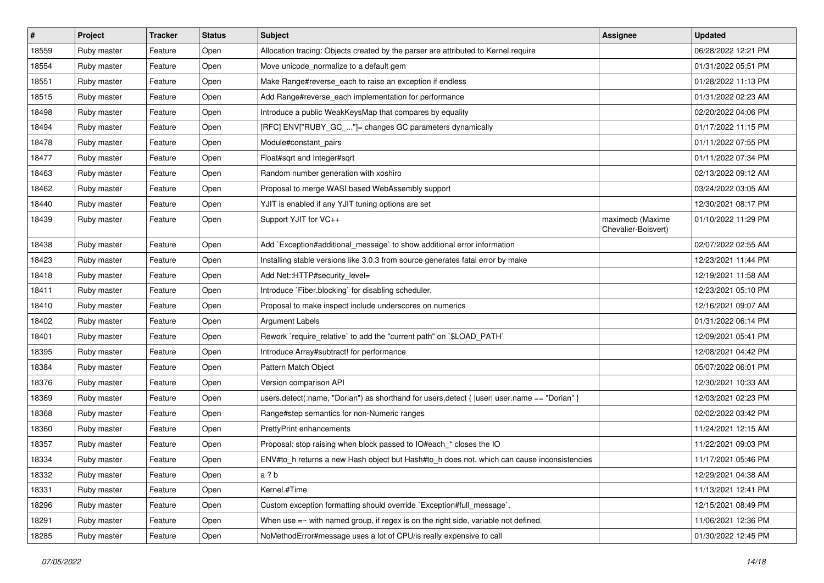| #     | Project     | <b>Tracker</b> | <b>Status</b> | Subject                                                                                        | Assignee                                | <b>Updated</b>      |
|-------|-------------|----------------|---------------|------------------------------------------------------------------------------------------------|-----------------------------------------|---------------------|
| 18559 | Ruby master | Feature        | Open          | Allocation tracing: Objects created by the parser are attributed to Kernel.require             |                                         | 06/28/2022 12:21 PM |
| 18554 | Ruby master | Feature        | Open          | Move unicode_normalize to a default gem                                                        |                                         | 01/31/2022 05:51 PM |
| 18551 | Ruby master | Feature        | Open          | Make Range#reverse_each to raise an exception if endless                                       |                                         | 01/28/2022 11:13 PM |
| 18515 | Ruby master | Feature        | Open          | Add Range#reverse_each implementation for performance                                          |                                         | 01/31/2022 02:23 AM |
| 18498 | Ruby master | Feature        | Open          | Introduce a public WeakKeysMap that compares by equality                                       |                                         | 02/20/2022 04:06 PM |
| 18494 | Ruby master | Feature        | Open          | [RFC] ENV["RUBY_GC_"]= changes GC parameters dynamically                                       |                                         | 01/17/2022 11:15 PM |
| 18478 | Ruby master | Feature        | Open          | Module#constant_pairs                                                                          |                                         | 01/11/2022 07:55 PM |
| 18477 | Ruby master | Feature        | Open          | Float#sqrt and Integer#sqrt                                                                    |                                         | 01/11/2022 07:34 PM |
| 18463 | Ruby master | Feature        | Open          | Random number generation with xoshiro                                                          |                                         | 02/13/2022 09:12 AM |
| 18462 | Ruby master | Feature        | Open          | Proposal to merge WASI based WebAssembly support                                               |                                         | 03/24/2022 03:05 AM |
| 18440 | Ruby master | Feature        | Open          | YJIT is enabled if any YJIT tuning options are set                                             |                                         | 12/30/2021 08:17 PM |
| 18439 | Ruby master | Feature        | Open          | Support YJIT for VC++                                                                          | maximecb (Maxime<br>Chevalier-Boisvert) | 01/10/2022 11:29 PM |
| 18438 | Ruby master | Feature        | Open          | Add `Exception#additional_message` to show additional error information                        |                                         | 02/07/2022 02:55 AM |
| 18423 | Ruby master | Feature        | Open          | Installing stable versions like 3.0.3 from source generates fatal error by make                |                                         | 12/23/2021 11:44 PM |
| 18418 | Ruby master | Feature        | Open          | Add Net::HTTP#security level=                                                                  |                                         | 12/19/2021 11:58 AM |
| 18411 | Ruby master | Feature        | Open          | Introduce `Fiber.blocking` for disabling scheduler.                                            |                                         | 12/23/2021 05:10 PM |
| 18410 | Ruby master | Feature        | Open          | Proposal to make inspect include underscores on numerics                                       |                                         | 12/16/2021 09:07 AM |
| 18402 | Ruby master | Feature        | Open          | <b>Argument Labels</b>                                                                         |                                         | 01/31/2022 06:14 PM |
| 18401 | Ruby master | Feature        | Open          | Rework `require_relative` to add the "current path" on `\$LOAD_PATH`                           |                                         | 12/09/2021 05:41 PM |
| 18395 | Ruby master | Feature        | Open          | Introduce Array#subtract! for performance                                                      |                                         | 12/08/2021 04:42 PM |
| 18384 | Ruby master | Feature        | Open          | Pattern Match Object                                                                           |                                         | 05/07/2022 06:01 PM |
| 18376 | Ruby master | Feature        | Open          | Version comparison API                                                                         |                                         | 12/30/2021 10:33 AM |
| 18369 | Ruby master | Feature        | Open          | users.detect(:name, "Dorian") as shorthand for users.detect { $ user $ user.name == "Dorian" } |                                         | 12/03/2021 02:23 PM |
| 18368 | Ruby master | Feature        | Open          | Range#step semantics for non-Numeric ranges                                                    |                                         | 02/02/2022 03:42 PM |
| 18360 | Ruby master | Feature        | Open          | <b>PrettyPrint enhancements</b>                                                                |                                         | 11/24/2021 12:15 AM |
| 18357 | Ruby master | Feature        | Open          | Proposal: stop raising when block passed to IO#each_* closes the IO                            |                                         | 11/22/2021 09:03 PM |
| 18334 | Ruby master | Feature        | Open          | ENV#to_h returns a new Hash object but Hash#to_h does not, which can cause inconsistencies     |                                         | 11/17/2021 05:46 PM |
| 18332 | Ruby master | Feature        | Open          | a ? b                                                                                          |                                         | 12/29/2021 04:38 AM |
| 18331 | Ruby master | Feature        | Open          | Kernel.#Time                                                                                   |                                         | 11/13/2021 12:41 PM |
| 18296 | Ruby master | Feature        | Open          | Custom exception formatting should override `Exception#full_message`.                          |                                         | 12/15/2021 08:49 PM |
| 18291 | Ruby master | Feature        | Open          | When use $=\sim$ with named group, if regex is on the right side, variable not defined.        |                                         | 11/06/2021 12:36 PM |
| 18285 | Ruby master | Feature        | Open          | NoMethodError#message uses a lot of CPU/is really expensive to call                            |                                         | 01/30/2022 12:45 PM |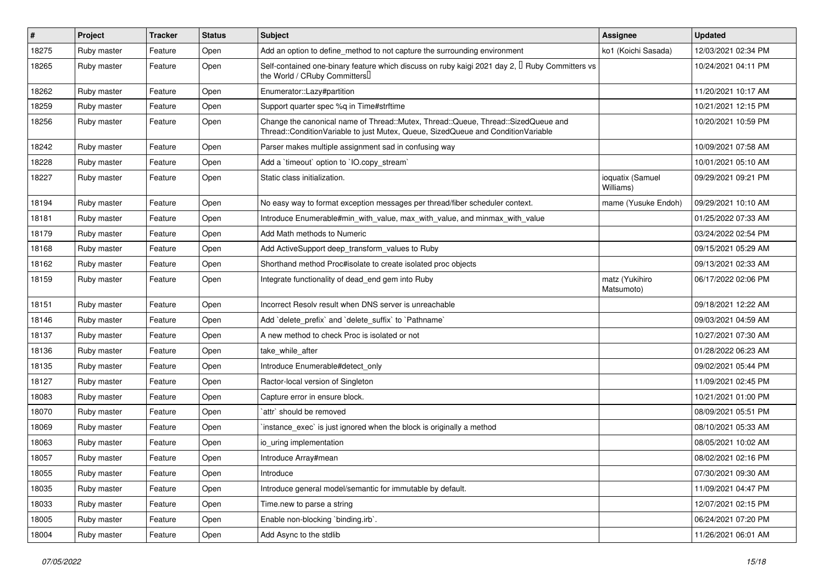| #     | Project     | <b>Tracker</b> | <b>Status</b> | <b>Subject</b>                                                                                                                                                        | <b>Assignee</b>               | <b>Updated</b>      |
|-------|-------------|----------------|---------------|-----------------------------------------------------------------------------------------------------------------------------------------------------------------------|-------------------------------|---------------------|
| 18275 | Ruby master | Feature        | Open          | Add an option to define_method to not capture the surrounding environment                                                                                             | ko1 (Koichi Sasada)           | 12/03/2021 02:34 PM |
| 18265 | Ruby master | Feature        | Open          | Self-contained one-binary feature which discuss on ruby kaigi 2021 day 2, <sup>[]</sup> Ruby Committers vs<br>the World / CRuby Committers                            |                               | 10/24/2021 04:11 PM |
| 18262 | Ruby master | Feature        | Open          | Enumerator::Lazy#partition                                                                                                                                            |                               | 11/20/2021 10:17 AM |
| 18259 | Ruby master | Feature        | Open          | Support quarter spec %q in Time#strftime                                                                                                                              |                               | 10/21/2021 12:15 PM |
| 18256 | Ruby master | Feature        | Open          | Change the canonical name of Thread::Mutex, Thread::Queue, Thread::SizedQueue and<br>Thread::ConditionVariable to just Mutex, Queue, SizedQueue and ConditionVariable |                               | 10/20/2021 10:59 PM |
| 18242 | Ruby master | Feature        | Open          | Parser makes multiple assignment sad in confusing way                                                                                                                 |                               | 10/09/2021 07:58 AM |
| 18228 | Ruby master | Feature        | Open          | Add a 'timeout' option to 'IO.copy_stream'                                                                                                                            |                               | 10/01/2021 05:10 AM |
| 18227 | Ruby master | Feature        | Open          | Static class initialization.                                                                                                                                          | ioquatix (Samuel<br>Williams) | 09/29/2021 09:21 PM |
| 18194 | Ruby master | Feature        | Open          | No easy way to format exception messages per thread/fiber scheduler context.                                                                                          | mame (Yusuke Endoh)           | 09/29/2021 10:10 AM |
| 18181 | Ruby master | Feature        | Open          | Introduce Enumerable#min with value, max with value, and minmax with value                                                                                            |                               | 01/25/2022 07:33 AM |
| 18179 | Ruby master | Feature        | Open          | Add Math methods to Numeric                                                                                                                                           |                               | 03/24/2022 02:54 PM |
| 18168 | Ruby master | Feature        | Open          | Add ActiveSupport deep_transform_values to Ruby                                                                                                                       |                               | 09/15/2021 05:29 AM |
| 18162 | Ruby master | Feature        | Open          | Shorthand method Proc#isolate to create isolated proc objects                                                                                                         |                               | 09/13/2021 02:33 AM |
| 18159 | Ruby master | Feature        | Open          | Integrate functionality of dead_end gem into Ruby                                                                                                                     | matz (Yukihiro<br>Matsumoto)  | 06/17/2022 02:06 PM |
| 18151 | Ruby master | Feature        | Open          | Incorrect Resolv result when DNS server is unreachable                                                                                                                |                               | 09/18/2021 12:22 AM |
| 18146 | Ruby master | Feature        | Open          | Add `delete_prefix` and `delete_suffix` to `Pathname`                                                                                                                 |                               | 09/03/2021 04:59 AM |
| 18137 | Ruby master | Feature        | Open          | A new method to check Proc is isolated or not                                                                                                                         |                               | 10/27/2021 07:30 AM |
| 18136 | Ruby master | Feature        | Open          | take_while_after                                                                                                                                                      |                               | 01/28/2022 06:23 AM |
| 18135 | Ruby master | Feature        | Open          | Introduce Enumerable#detect_only                                                                                                                                      |                               | 09/02/2021 05:44 PM |
| 18127 | Ruby master | Feature        | Open          | Ractor-local version of Singleton                                                                                                                                     |                               | 11/09/2021 02:45 PM |
| 18083 | Ruby master | Feature        | Open          | Capture error in ensure block.                                                                                                                                        |                               | 10/21/2021 01:00 PM |
| 18070 | Ruby master | Feature        | Open          | `attr` should be removed                                                                                                                                              |                               | 08/09/2021 05:51 PM |
| 18069 | Ruby master | Feature        | Open          | instance exec is just ignored when the block is originally a method                                                                                                   |                               | 08/10/2021 05:33 AM |
| 18063 | Ruby master | Feature        | Open          | io_uring implementation                                                                                                                                               |                               | 08/05/2021 10:02 AM |
| 18057 | Ruby master | Feature        | Open          | Introduce Array#mean                                                                                                                                                  |                               | 08/02/2021 02:16 PM |
| 18055 | Ruby master | Feature        | Open          | Introduce                                                                                                                                                             |                               | 07/30/2021 09:30 AM |
| 18035 | Ruby master | Feature        | Open          | Introduce general model/semantic for immutable by default.                                                                                                            |                               | 11/09/2021 04:47 PM |
| 18033 | Ruby master | Feature        | Open          | Time.new to parse a string                                                                                                                                            |                               | 12/07/2021 02:15 PM |
| 18005 | Ruby master | Feature        | Open          | Enable non-blocking `binding.irb`.                                                                                                                                    |                               | 06/24/2021 07:20 PM |
| 18004 | Ruby master | Feature        | Open          | Add Async to the stdlib                                                                                                                                               |                               | 11/26/2021 06:01 AM |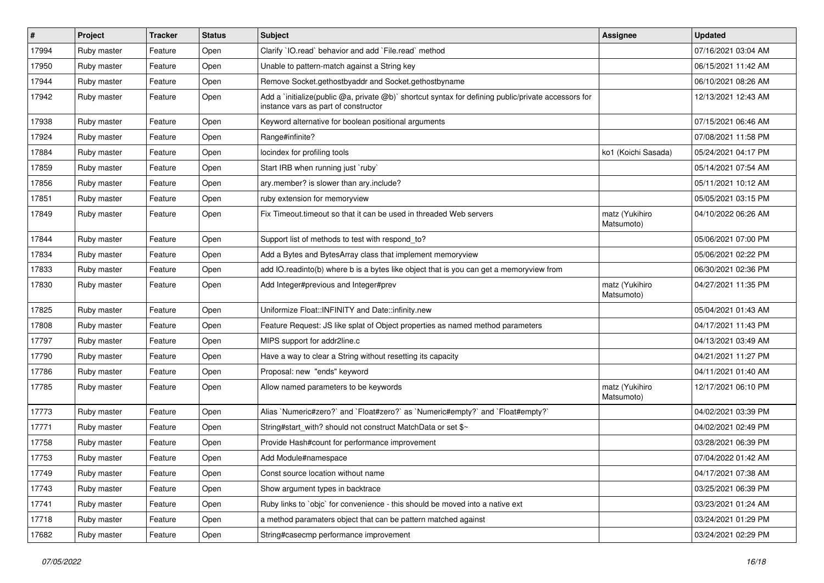| $\sharp$ | Project     | <b>Tracker</b> | <b>Status</b> | Subject                                                                                                                                     | <b>Assignee</b>              | <b>Updated</b>      |
|----------|-------------|----------------|---------------|---------------------------------------------------------------------------------------------------------------------------------------------|------------------------------|---------------------|
| 17994    | Ruby master | Feature        | Open          | Clarify `IO.read` behavior and add `File.read` method                                                                                       |                              | 07/16/2021 03:04 AM |
| 17950    | Ruby master | Feature        | Open          | Unable to pattern-match against a String key                                                                                                |                              | 06/15/2021 11:42 AM |
| 17944    | Ruby master | Feature        | Open          | Remove Socket.gethostbyaddr and Socket.gethostbyname                                                                                        |                              | 06/10/2021 08:26 AM |
| 17942    | Ruby master | Feature        | Open          | Add a `initialize(public @a, private @b)` shortcut syntax for defining public/private accessors for<br>instance vars as part of constructor |                              | 12/13/2021 12:43 AM |
| 17938    | Ruby master | Feature        | Open          | Keyword alternative for boolean positional arguments                                                                                        |                              | 07/15/2021 06:46 AM |
| 17924    | Ruby master | Feature        | Open          | Range#infinite?                                                                                                                             |                              | 07/08/2021 11:58 PM |
| 17884    | Ruby master | Feature        | Open          | locindex for profiling tools                                                                                                                | ko1 (Koichi Sasada)          | 05/24/2021 04:17 PM |
| 17859    | Ruby master | Feature        | Open          | Start IRB when running just `ruby`                                                                                                          |                              | 05/14/2021 07:54 AM |
| 17856    | Ruby master | Feature        | Open          | ary.member? is slower than ary.include?                                                                                                     |                              | 05/11/2021 10:12 AM |
| 17851    | Ruby master | Feature        | Open          | ruby extension for memoryview                                                                                                               |                              | 05/05/2021 03:15 PM |
| 17849    | Ruby master | Feature        | Open          | Fix Timeout timeout so that it can be used in threaded Web servers                                                                          | matz (Yukihiro<br>Matsumoto) | 04/10/2022 06:26 AM |
| 17844    | Ruby master | Feature        | Open          | Support list of methods to test with respond_to?                                                                                            |                              | 05/06/2021 07:00 PM |
| 17834    | Ruby master | Feature        | Open          | Add a Bytes and BytesArray class that implement memoryview                                                                                  |                              | 05/06/2021 02:22 PM |
| 17833    | Ruby master | Feature        | Open          | add IO.readinto(b) where b is a bytes like object that is you can get a memoryview from                                                     |                              | 06/30/2021 02:36 PM |
| 17830    | Ruby master | Feature        | Open          | Add Integer#previous and Integer#prev                                                                                                       | matz (Yukihiro<br>Matsumoto) | 04/27/2021 11:35 PM |
| 17825    | Ruby master | Feature        | Open          | Uniformize Float::INFINITY and Date::infinity.new                                                                                           |                              | 05/04/2021 01:43 AM |
| 17808    | Ruby master | Feature        | Open          | Feature Request: JS like splat of Object properties as named method parameters                                                              |                              | 04/17/2021 11:43 PM |
| 17797    | Ruby master | Feature        | Open          | MIPS support for addr2line.c                                                                                                                |                              | 04/13/2021 03:49 AM |
| 17790    | Ruby master | Feature        | Open          | Have a way to clear a String without resetting its capacity                                                                                 |                              | 04/21/2021 11:27 PM |
| 17786    | Ruby master | Feature        | Open          | Proposal: new "ends" keyword                                                                                                                |                              | 04/11/2021 01:40 AM |
| 17785    | Ruby master | Feature        | Open          | Allow named parameters to be keywords                                                                                                       | matz (Yukihiro<br>Matsumoto) | 12/17/2021 06:10 PM |
| 17773    | Ruby master | Feature        | Open          | Alias `Numeric#zero?` and `Float#zero?` as `Numeric#empty?` and `Float#empty?`                                                              |                              | 04/02/2021 03:39 PM |
| 17771    | Ruby master | Feature        | Open          | String#start with? should not construct MatchData or set \$~                                                                                |                              | 04/02/2021 02:49 PM |
| 17758    | Ruby master | Feature        | Open          | Provide Hash#count for performance improvement                                                                                              |                              | 03/28/2021 06:39 PM |
| 17753    | Ruby master | Feature        | Open          | Add Module#namespace                                                                                                                        |                              | 07/04/2022 01:42 AM |
| 17749    | Ruby master | Feature        | Open          | Const source location without name                                                                                                          |                              | 04/17/2021 07:38 AM |
| 17743    | Ruby master | Feature        | Open          | Show argument types in backtrace                                                                                                            |                              | 03/25/2021 06:39 PM |
| 17741    | Ruby master | Feature        | Open          | Ruby links to `objc` for convenience - this should be moved into a native ext                                                               |                              | 03/23/2021 01:24 AM |
| 17718    | Ruby master | Feature        | Open          | a method paramaters object that can be pattern matched against                                                                              |                              | 03/24/2021 01:29 PM |
| 17682    | Ruby master | Feature        | Open          | String#casecmp performance improvement                                                                                                      |                              | 03/24/2021 02:29 PM |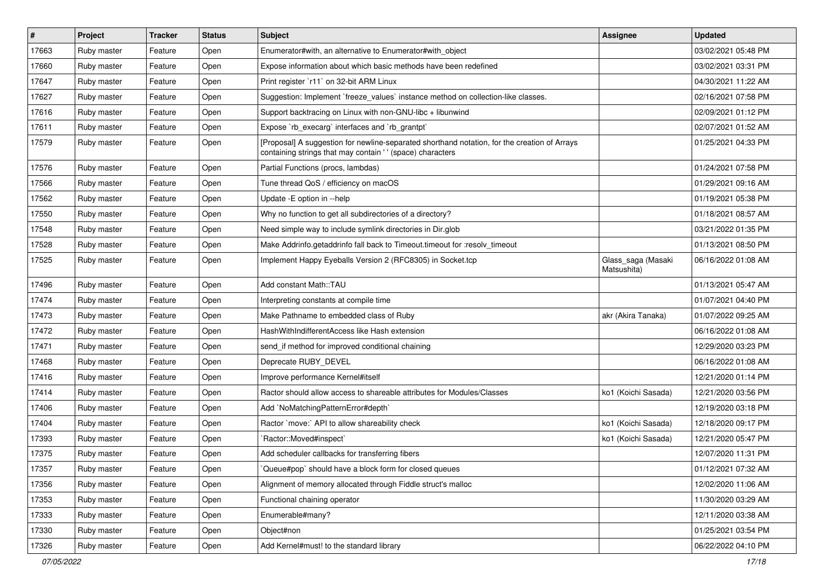| #     | Project     | <b>Tracker</b> | <b>Status</b> | <b>Subject</b>                                                                                                                                            | Assignee                          | <b>Updated</b>      |
|-------|-------------|----------------|---------------|-----------------------------------------------------------------------------------------------------------------------------------------------------------|-----------------------------------|---------------------|
| 17663 | Ruby master | Feature        | Open          | Enumerator#with, an alternative to Enumerator#with object                                                                                                 |                                   | 03/02/2021 05:48 PM |
| 17660 | Ruby master | Feature        | Open          | Expose information about which basic methods have been redefined                                                                                          |                                   | 03/02/2021 03:31 PM |
| 17647 | Ruby master | Feature        | Open          | Print register `r11` on 32-bit ARM Linux                                                                                                                  |                                   | 04/30/2021 11:22 AM |
| 17627 | Ruby master | Feature        | Open          | Suggestion: Implement `freeze_values` instance method on collection-like classes.                                                                         |                                   | 02/16/2021 07:58 PM |
| 17616 | Ruby master | Feature        | Open          | Support backtracing on Linux with non-GNU-libc + libunwind                                                                                                |                                   | 02/09/2021 01:12 PM |
| 17611 | Ruby master | Feature        | Open          | Expose `rb_execarg` interfaces and `rb_grantpt`                                                                                                           |                                   | 02/07/2021 01:52 AM |
| 17579 | Ruby master | Feature        | Open          | [Proposal] A suggestion for newline-separated shorthand notation, for the creation of Arrays<br>containing strings that may contain '' (space) characters |                                   | 01/25/2021 04:33 PM |
| 17576 | Ruby master | Feature        | Open          | Partial Functions (procs, lambdas)                                                                                                                        |                                   | 01/24/2021 07:58 PM |
| 17566 | Ruby master | Feature        | Open          | Tune thread QoS / efficiency on macOS                                                                                                                     |                                   | 01/29/2021 09:16 AM |
| 17562 | Ruby master | Feature        | Open          | Update - E option in --help                                                                                                                               |                                   | 01/19/2021 05:38 PM |
| 17550 | Ruby master | Feature        | Open          | Why no function to get all subdirectories of a directory?                                                                                                 |                                   | 01/18/2021 08:57 AM |
| 17548 | Ruby master | Feature        | Open          | Need simple way to include symlink directories in Dir.glob                                                                                                |                                   | 03/21/2022 01:35 PM |
| 17528 | Ruby master | Feature        | Open          | Make Addrinfo.getaddrinfo fall back to Timeout.timeout for :resolv_timeout                                                                                |                                   | 01/13/2021 08:50 PM |
| 17525 | Ruby master | Feature        | Open          | Implement Happy Eyeballs Version 2 (RFC8305) in Socket.tcp                                                                                                | Glass_saga (Masaki<br>Matsushita) | 06/16/2022 01:08 AM |
| 17496 | Ruby master | Feature        | Open          | Add constant Math::TAU                                                                                                                                    |                                   | 01/13/2021 05:47 AM |
| 17474 | Ruby master | Feature        | Open          | Interpreting constants at compile time                                                                                                                    |                                   | 01/07/2021 04:40 PM |
| 17473 | Ruby master | Feature        | Open          | Make Pathname to embedded class of Ruby                                                                                                                   | akr (Akira Tanaka)                | 01/07/2022 09:25 AM |
| 17472 | Ruby master | Feature        | Open          | HashWithIndifferentAccess like Hash extension                                                                                                             |                                   | 06/16/2022 01:08 AM |
| 17471 | Ruby master | Feature        | Open          | send if method for improved conditional chaining                                                                                                          |                                   | 12/29/2020 03:23 PM |
| 17468 | Ruby master | Feature        | Open          | Deprecate RUBY_DEVEL                                                                                                                                      |                                   | 06/16/2022 01:08 AM |
| 17416 | Ruby master | Feature        | Open          | Improve performance Kernel#itself                                                                                                                         |                                   | 12/21/2020 01:14 PM |
| 17414 | Ruby master | Feature        | Open          | Ractor should allow access to shareable attributes for Modules/Classes                                                                                    | ko1 (Koichi Sasada)               | 12/21/2020 03:56 PM |
| 17406 | Ruby master | Feature        | Open          | Add `NoMatchingPatternError#depth`                                                                                                                        |                                   | 12/19/2020 03:18 PM |
| 17404 | Ruby master | Feature        | Open          | Ractor `move:` API to allow shareability check                                                                                                            | ko1 (Koichi Sasada)               | 12/18/2020 09:17 PM |
| 17393 | Ruby master | Feature        | Open          | `Ractor::Moved#inspect`                                                                                                                                   | ko1 (Koichi Sasada)               | 12/21/2020 05:47 PM |
| 17375 | Ruby master | Feature        | Open          | Add scheduler callbacks for transferring fibers                                                                                                           |                                   | 12/07/2020 11:31 PM |
| 17357 | Ruby master | Feature        | Open          | Queue#pop` should have a block form for closed queues                                                                                                     |                                   | 01/12/2021 07:32 AM |
| 17356 | Ruby master | Feature        | Open          | Alignment of memory allocated through Fiddle struct's malloc                                                                                              |                                   | 12/02/2020 11:06 AM |
| 17353 | Ruby master | Feature        | Open          | Functional chaining operator                                                                                                                              |                                   | 11/30/2020 03:29 AM |
| 17333 | Ruby master | Feature        | Open          | Enumerable#many?                                                                                                                                          |                                   | 12/11/2020 03:38 AM |
| 17330 | Ruby master | Feature        | Open          | Object#non                                                                                                                                                |                                   | 01/25/2021 03:54 PM |
| 17326 | Ruby master | Feature        | Open          | Add Kernel#must! to the standard library                                                                                                                  |                                   | 06/22/2022 04:10 PM |